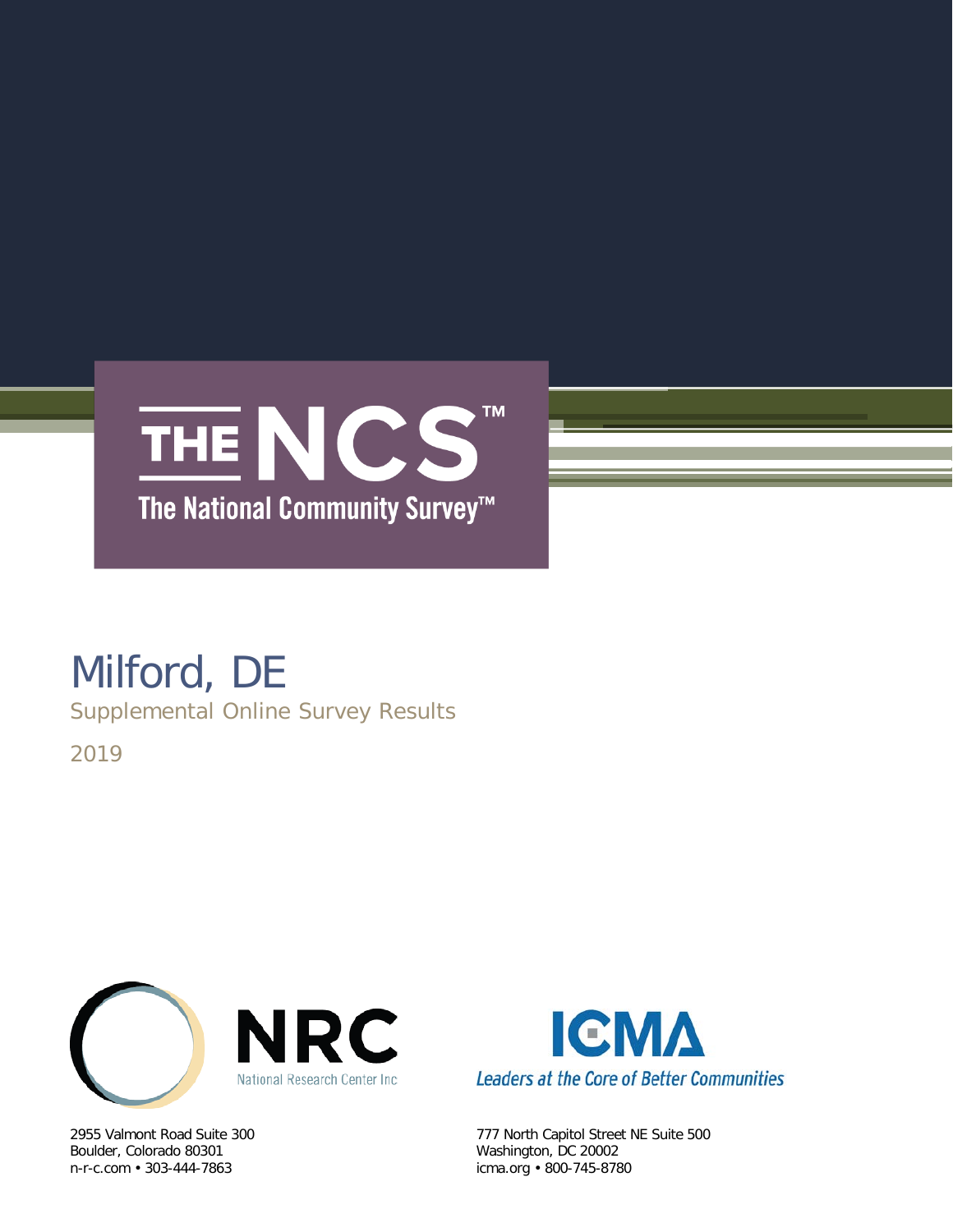

# Milford, DE

Supplemental Online Survey Results

2019



Boulder, Colorado 80301 Washington, DC 20002



2955 Valmont Road Suite 300 777 North Capitol Street NE Suite 500 icma.org • 800-745-8780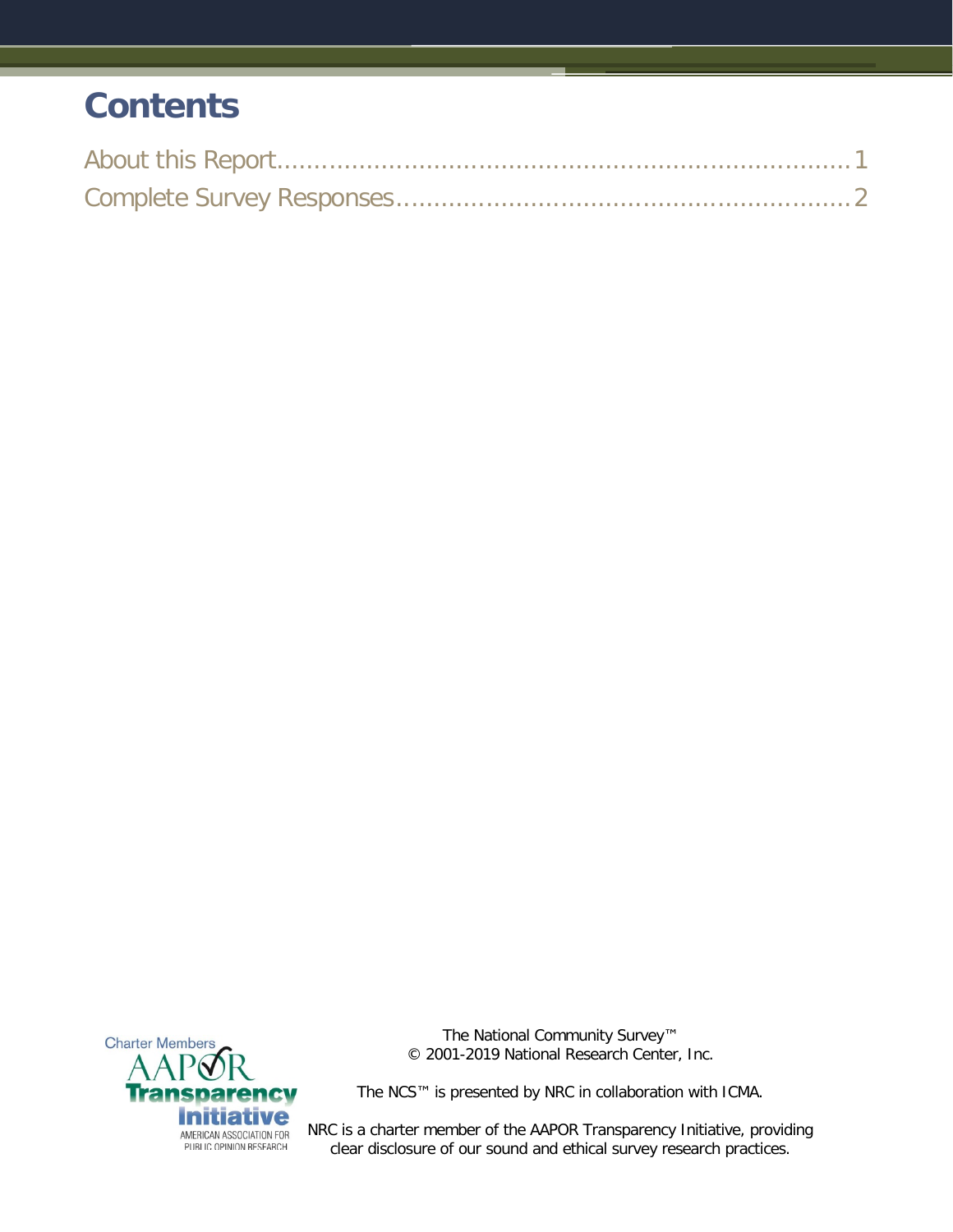# **Contents**



The National Community Survey™ © 2001-2019 National Research Center, Inc.

The NCS™ is presented by NRC in collaboration with ICMA.

NRC is a charter member of the AAPOR Transparency Initiative, providing clear disclosure of our sound and ethical survey research practices.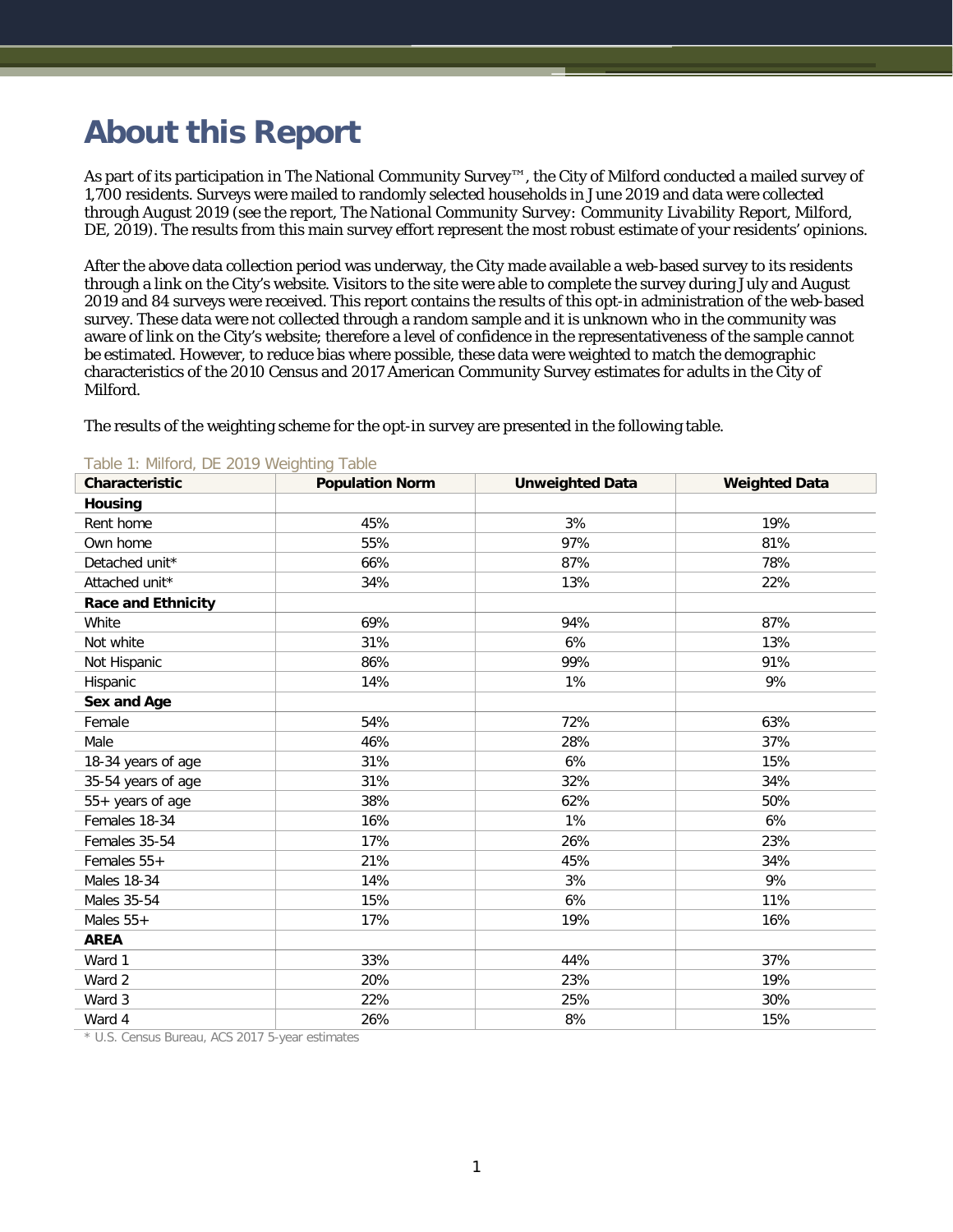# <span id="page-2-0"></span>**About this Report**

As part of its participation in The National Community Survey™, the City of Milford conducted a mailed survey of 1,700 residents. Surveys were mailed to randomly selected households in June 2019 and data were collected through August 2019 (see the report, *The National Community Survey: Community Livability Report, Milford, DE, 2019*). The results from this main survey effort represent the most robust estimate of your residents' opinions.

After the above data collection period was underway, the City made available a web-based survey to its residents through a link on the City's website. Visitors to the site were able to complete the survey during July and August 2019 and 84 surveys were received. This report contains the results of this opt-in administration of the web-based survey. These data were not collected through a random sample and it is unknown who in the community was aware of link on the City's website; therefore a level of confidence in the representativeness of the sample cannot be estimated. However, to reduce bias where possible, these data were weighted to match the demographic characteristics of the 2010 Census and 2017 American Community Survey estimates for adults in the City of Milford.

The results of the weighting scheme for the opt-in survey are presented in the following table.

| Characteristic            | <b>Population Norm</b> | <b>Unweighted Data</b> | <b>Weighted Data</b> |
|---------------------------|------------------------|------------------------|----------------------|
| <b>Housing</b>            |                        |                        |                      |
| Rent home                 | 45%                    | 3%                     | 19%                  |
| Own home                  | 55%                    | 97%                    | 81%                  |
| Detached unit*            | 66%                    | 87%                    | 78%                  |
| Attached unit*            | 34%                    | 13%                    | 22%                  |
| <b>Race and Ethnicity</b> |                        |                        |                      |
| White                     | 69%                    | 94%                    | 87%                  |
| Not white                 | 31%                    | 6%                     | 13%                  |
| Not Hispanic              | 86%                    | 99%                    | 91%                  |
| Hispanic                  | 14%                    | 1%                     | 9%                   |
| Sex and Age               |                        |                        |                      |
| Female                    | 54%                    | 72%                    | 63%                  |
| Male                      | 46%                    | 28%                    | 37%                  |
| 18-34 years of age        | 31%                    | 6%                     | 15%                  |
| 35-54 years of age        | 31%                    | 32%                    | 34%                  |
| 55+ years of age          | 38%                    | 62%                    | 50%                  |
| Females 18-34             | 16%                    | 1%                     | 6%                   |
| Females 35-54             | 17%                    | 26%                    | 23%                  |
| Females 55+               | 21%                    | 45%                    | 34%                  |
| <b>Males 18-34</b>        | 14%                    | 3%                     | 9%                   |
| Males 35-54               | 15%                    | 6%                     | 11%                  |
| Males $55+$               | 17%                    | 19%                    | 16%                  |
| <b>AREA</b>               |                        |                        |                      |
| Ward 1                    | 33%                    | 44%                    | 37%                  |
| Ward 2                    | 20%                    | 23%                    | 19%                  |
| Ward 3                    | 22%                    | 25%                    | 30%                  |
| Ward 4                    | 26%                    | 8%                     | 15%                  |

#### Table 1: Milford, DE 2019 Weighting Table

\* U.S. Census Bureau, ACS 2017 5-year estimates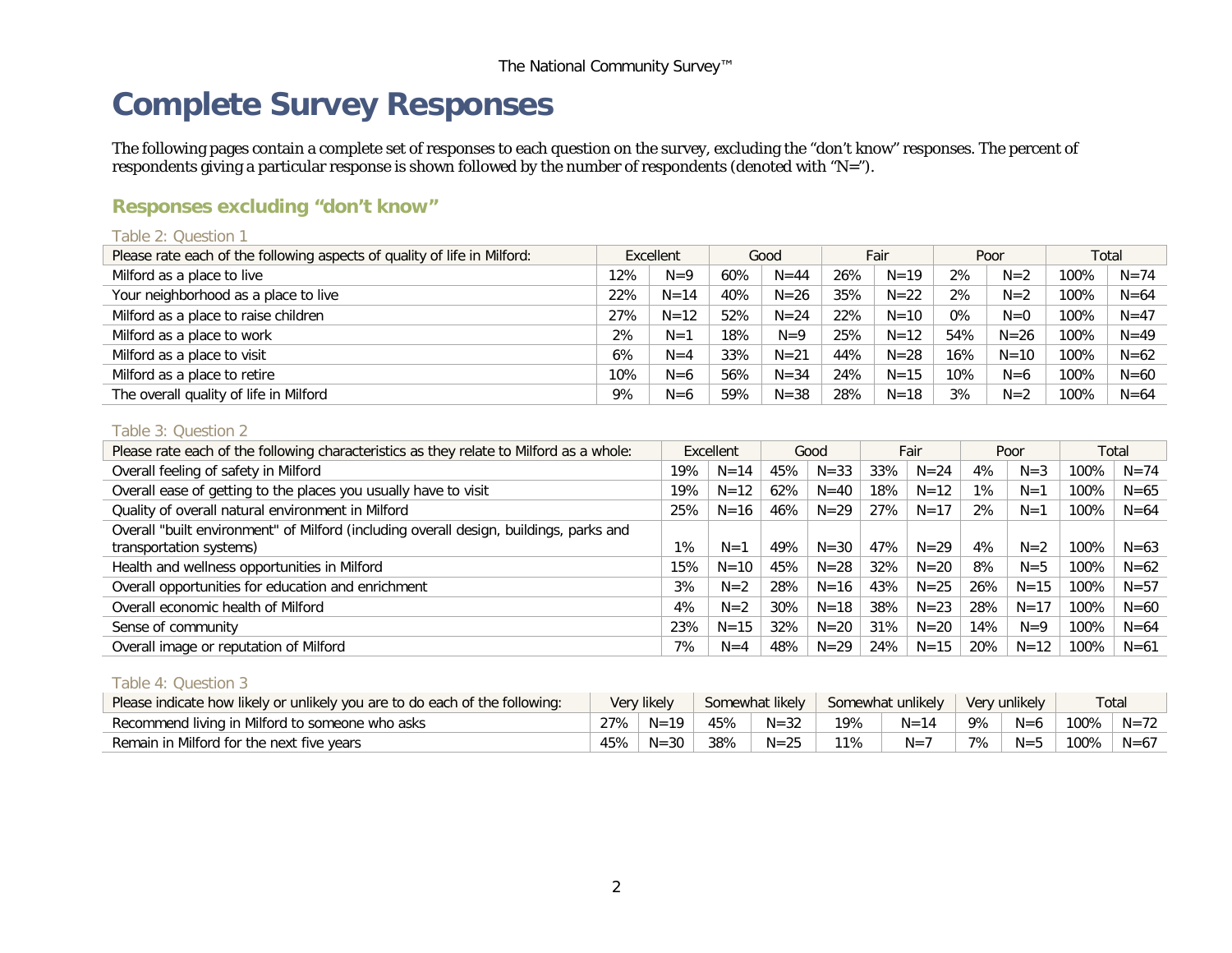# **Complete Survey Responses**

The following pages contain a complete set of responses to each question on the survey, excluding the "don't know" responses. The percent of respondents giving a particular response is shown followed by the number of respondents (denoted with "N=").

# **Responses excluding "don't know"**

| Table 2: Question 1                                                      |     |           |     |          |     |          |       |          |      |          |
|--------------------------------------------------------------------------|-----|-----------|-----|----------|-----|----------|-------|----------|------|----------|
| Please rate each of the following aspects of quality of life in Milford: |     | Excellent |     | Good     |     | Fair     |       | Poor     |      | Total    |
| Milford as a place to live                                               | 12% | $N=9$     | 60% | $N = 44$ | 26% | $N = 19$ | 2%    | $N=2$    | 100% | $N = 74$ |
| Your neighborhood as a place to live                                     | 22% | $N = 14$  | 40% | $N = 26$ | 35% | $N = 22$ | 2%    | $N=2$    | 100% | $N = 64$ |
| Milford as a place to raise children                                     | 27% | $N = 12$  | 52% | $N = 24$ | 22% | $N = 10$ | $0\%$ | $N=0$    | 100% | $N = 47$ |
| Milford as a place to work                                               | 2%  | $N=1$     | 18% | $N=9$    | 25% | $N = 12$ | 54%   | $N = 26$ | 100% | $N = 49$ |
| Milford as a place to visit                                              | 6%  | $N=4$     | 33% | $N = 21$ | 44% | $N = 28$ | 16%   | $N = 10$ | 100% | $N = 62$ |
| Milford as a place to retire                                             | 10% | $N=6$     | 56% | $N = 34$ | 24% | $N = 15$ | 10%   | $N=6$    | 100% | $N = 60$ |
| The overall quality of life in Milford                                   | 9%  | $N=6$     | 59% | $N = 38$ | 28% | $N = 18$ | 3%    | $N=2$    | 100% | $N = 64$ |

#### <span id="page-3-0"></span>Table 3: Question 2

| Please rate each of the following characteristics as they relate to Milford as a whole:                           |     | Excellent |     | Good     |     | Fair     |     | Poor     |      | Total    |
|-------------------------------------------------------------------------------------------------------------------|-----|-----------|-----|----------|-----|----------|-----|----------|------|----------|
| Overall feeling of safety in Milford                                                                              | 19% | $N = 14$  | 45% | $N = 33$ | 33% | $N = 24$ | 4%  | $N = 3$  | 100% | $N = 74$ |
| Overall ease of getting to the places you usually have to visit                                                   | 19% | $N = 12$  | 62% | $N = 40$ | 18% | $N = 12$ | 1%  | $N=1$    | 100% | $N = 65$ |
| Quality of overall natural environment in Milford                                                                 | 25% | $N = 16$  | 46% | $N = 29$ | 27% | $N = 17$ | 2%  | $N=1$    | 100% | $N = 64$ |
| Overall "built environment" of Milford (including overall design, buildings, parks and<br>transportation systems) | 1%  | $N=1$     | 49% | $N = 30$ | 47% | $N = 29$ | 4%  | $N=2$    | 100% | $N = 63$ |
|                                                                                                                   |     |           |     |          |     |          |     |          |      |          |
| Health and wellness opportunities in Milford                                                                      | 15% | $N = 10$  | 45% | $N = 28$ | 32% | $N = 20$ | 8%  | $N = 5$  | 100% | $N = 62$ |
| Overall opportunities for education and enrichment                                                                | 3%  | $N=2$     | 28% | $N = 16$ | 43% | $N = 25$ | 26% | $N = 15$ | 100% | $N = 57$ |
| Overall economic health of Milford                                                                                | 4%  | $N=2$     | 30% | $N = 18$ | 38% | $N = 23$ | 28% | $N = 17$ | 100% | $N = 60$ |
| Sense of community                                                                                                | 23% | $N = 15$  | 32% | $N = 20$ | 31% | $N = 20$ | 14% | $N=9$    | 100% | $N = 64$ |
| Overall image or reputation of Milford                                                                            | 7%  | $N=4$     | 48% | $N = 29$ | 24% | $N = 15$ | 20% | $N = 12$ | 100% | $N = 61$ |

#### Table 4: Question 3

| Please indicate how likely or unlikely you are to do each of the following: |        | Very likely |     | Somewhat likely |     | Somewhat unlikely |    | Very unlikely |                | Total |
|-----------------------------------------------------------------------------|--------|-------------|-----|-----------------|-----|-------------------|----|---------------|----------------|-------|
| Recommend living in Milford to someone who asks                             | $27\%$ | $N=19$      | 45% | $N = 32$        | 19% | $N = 14$          | 9% | $N=6$         | 100%   N=72    |       |
| Remain in Milford for the next five years                                   | 45% '  | $N = 30$    | 38% | $N = 25$        | 11% | $N=7$             | 7% | $N=5$         | $100\%$   N=67 |       |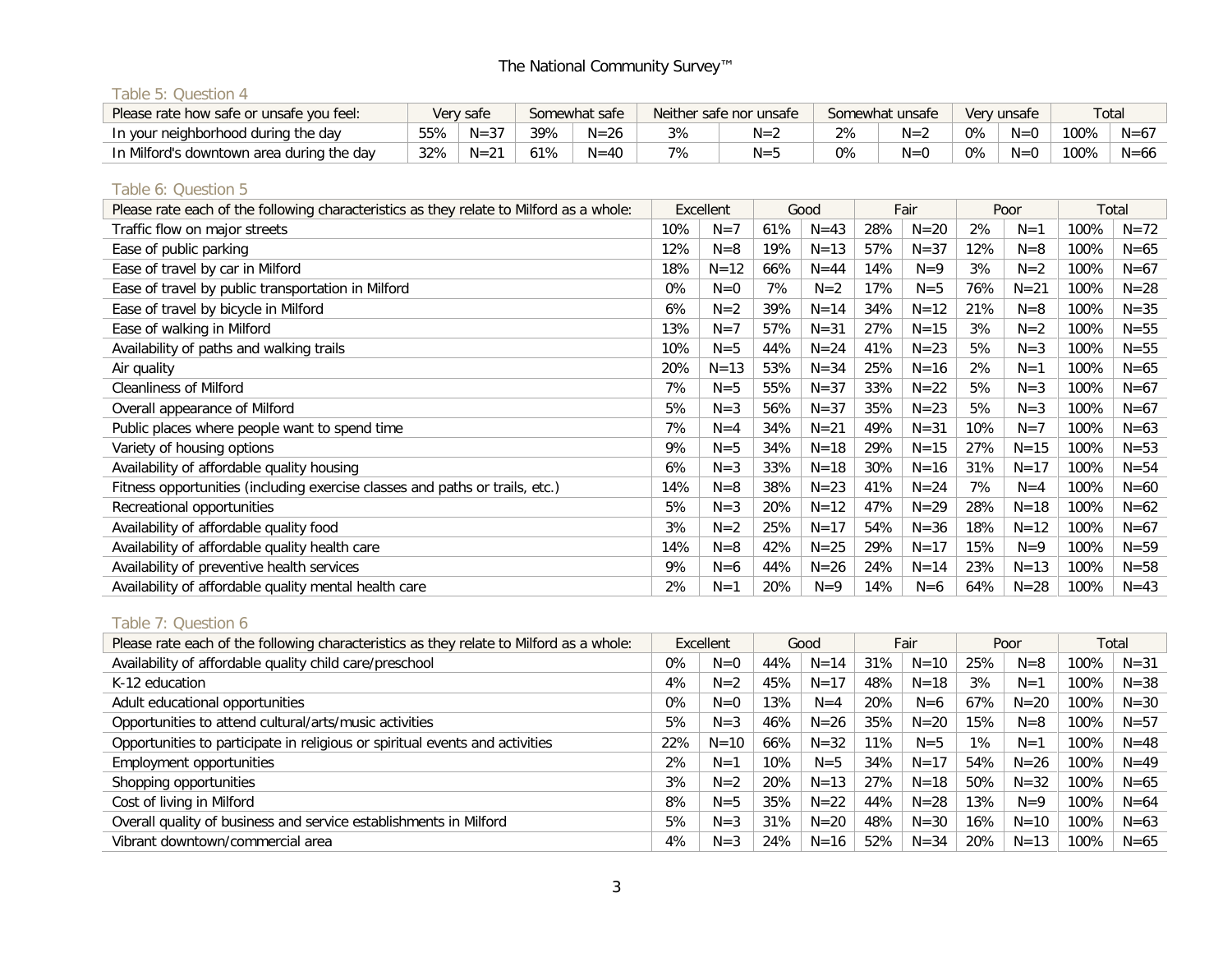## Table 5: Question 4

| Please rate how safe or unsafe you feel:  |     | Very safe |     | Somewhat safe | Neither safe nor unsafe |    | Somewhat unsafe<br>Very unsafe |       |         | Total |          |  |
|-------------------------------------------|-----|-----------|-----|---------------|-------------------------|----|--------------------------------|-------|---------|-------|----------|--|
| In your neighborhood during the day       | 55% | $N = 37$  | 39% | $N = 26$      | $N = 1$                 |    | $N = 2$                        | $0\%$ | $N=0$   | 100%  | $N = 67$ |  |
| In Milford's downtown area during the day | 32% | $N = 21$  | 61% | $N = 40$      | $N =$                   | 0% | $N=0$                          | $0\%$ | $N = 0$ | 100%  | $N = 66$ |  |

#### Table 6: Question 5

| Please rate each of the following characteristics as they relate to Milford as a whole: |     | Excellent |     | Good     |     | Fair     |     | Poor     | Total |          |
|-----------------------------------------------------------------------------------------|-----|-----------|-----|----------|-----|----------|-----|----------|-------|----------|
| Traffic flow on major streets                                                           | 10% | $N=7$     | 61% | $N = 43$ | 28% | $N=20$   | 2%  | $N=1$    | 100%  | $N = 72$ |
| Ease of public parking                                                                  | 12% | $N=8$     | 19% | $N = 13$ | 57% | $N = 37$ | 12% | $N=8$    | 100%  | $N = 65$ |
| Ease of travel by car in Milford                                                        | 18% | $N = 12$  | 66% | $N = 44$ | 14% | $N=9$    | 3%  | $N=2$    | 100%  | $N = 67$ |
| Ease of travel by public transportation in Milford                                      | 0%  | $N=0$     | 7%  | $N=2$    | 17% | $N = 5$  | 76% | $N = 21$ | 100%  | $N = 28$ |
| Ease of travel by bicycle in Milford                                                    | 6%  | $N=2$     | 39% | $N = 14$ | 34% | $N = 12$ | 21% | $N=8$    | 100%  | $N = 35$ |
| Ease of walking in Milford                                                              | 13% | $N=7$     | 57% | $N = 31$ | 27% | $N = 15$ | 3%  | $N=2$    | 100%  | $N = 55$ |
| Availability of paths and walking trails                                                | 10% | $N = 5$   | 44% | $N = 24$ | 41% | $N = 23$ | 5%  | $N = 3$  | 100%  | $N = 55$ |
| Air quality                                                                             | 20% | $N = 13$  | 53% | $N = 34$ | 25% | $N = 16$ | 2%  | $N=1$    | 100%  | $N = 65$ |
| <b>Cleanliness of Milford</b>                                                           | 7%  | $N = 5$   | 55% | $N = 37$ | 33% | $N = 22$ | 5%  | $N = 3$  | 100%  | $N = 67$ |
| Overall appearance of Milford                                                           | 5%  | $N = 3$   | 56% | $N = 37$ | 35% | $N = 23$ | 5%  | $N = 3$  | 100%  | $N = 67$ |
| Public places where people want to spend time                                           | 7%  | $N=4$     | 34% | $N = 21$ | 49% | $N = 31$ | 10% | $N=7$    | 100%  | $N = 63$ |
| Variety of housing options                                                              | 9%  | $N = 5$   | 34% | $N = 18$ | 29% | $N = 15$ | 27% | $N = 15$ | 100%  | $N = 53$ |
| Availability of affordable quality housing                                              | 6%  | $N = 3$   | 33% | $N = 18$ | 30% | $N = 16$ | 31% | $N = 17$ | 100%  | $N = 54$ |
| Fitness opportunities (including exercise classes and paths or trails, etc.)            | 14% | $N=8$     | 38% | $N = 23$ | 41% | $N = 24$ | 7%  | $N = 4$  | 100%  | $N = 60$ |
| Recreational opportunities                                                              | 5%  | $N = 3$   | 20% | $N = 12$ | 47% | $N = 29$ | 28% | $N = 18$ | 100%  | $N = 62$ |
| Availability of affordable quality food                                                 | 3%  | $N=2$     | 25% | $N = 17$ | 54% | $N = 36$ | 18% | $N = 12$ | 100%  | $N = 67$ |
| Availability of affordable quality health care                                          | 14% | $N=8$     | 42% | $N = 25$ | 29% | $N = 17$ | 15% | $N=9$    | 100%  | $N = 59$ |
| Availability of preventive health services                                              | 9%  | $N=6$     | 44% | $N = 26$ | 24% | $N = 14$ | 23% | $N = 13$ | 100%  | $N = 58$ |
| Availability of affordable quality mental health care                                   | 2%  | $N=1$     | 20% | $N=9$    | 14% | $N=6$    | 64% | $N = 28$ | 100%  | $N = 43$ |

# Table 7: Question 6

| Please rate each of the following characteristics as they relate to Milford as a whole: |     | Excellent |     | Good     |     | Fair     |       | Poor     | Total |          |
|-----------------------------------------------------------------------------------------|-----|-----------|-----|----------|-----|----------|-------|----------|-------|----------|
| Availability of affordable quality child care/preschool                                 | 0%  | $N=0$     | 44% | $N = 14$ | 31% | $N = 10$ | 25%   | $N = 8$  | 100%  | $N = 31$ |
| K-12 education                                                                          | 4%  | $N=2$     | 45% | $N = 17$ | 48% | $N = 18$ | 3%    | $N=1$    | 100%  | $N = 38$ |
| Adult educational opportunities                                                         | 0%  | $N=0$     | 13% | $N=4$    | 20% | $N=6$    | 67%   | $N = 20$ | 100%  | $N = 30$ |
| Opportunities to attend cultural/arts/music activities                                  | 5%  | $N = 3$   | 46% | $N = 26$ | 35% | $N = 20$ | 15%   | $N = 8$  | 100%  | $N = 57$ |
| Opportunities to participate in religious or spiritual events and activities            | 22% | $N = 10$  | 66% | $N = 32$ | 11% | $N = 5$  | $1\%$ | $N=1$    | 100%  | $N = 48$ |
| Employment opportunities                                                                | 2%  | $N=1$     | 10% | $N = 5$  | 34% | $N = 17$ | 54%   | $N = 26$ | 100%  | $N = 49$ |
| Shopping opportunities                                                                  | 3%  | $N=2$     | 20% | $N = 13$ | 27% | $N = 18$ | 50%   | $N = 32$ | 100%  | $N = 65$ |
| Cost of living in Milford                                                               | 8%  | $N = 5$   | 35% | $N = 22$ | 44% | $N = 28$ | 13%   | $N=9$    | 100%  | $N = 64$ |
| Overall quality of business and service establishments in Milford                       | 5%  | $N = 3$   | 31% | $N = 20$ | 48% | $N = 30$ | 16%   | $N = 10$ | 100%  | $N = 63$ |
| Vibrant downtown/commercial area                                                        | 4%  | $N = 3$   | 24% | $N = 16$ | 52% | $N = 34$ | 20%   | $N = 13$ | 100%  | $N = 65$ |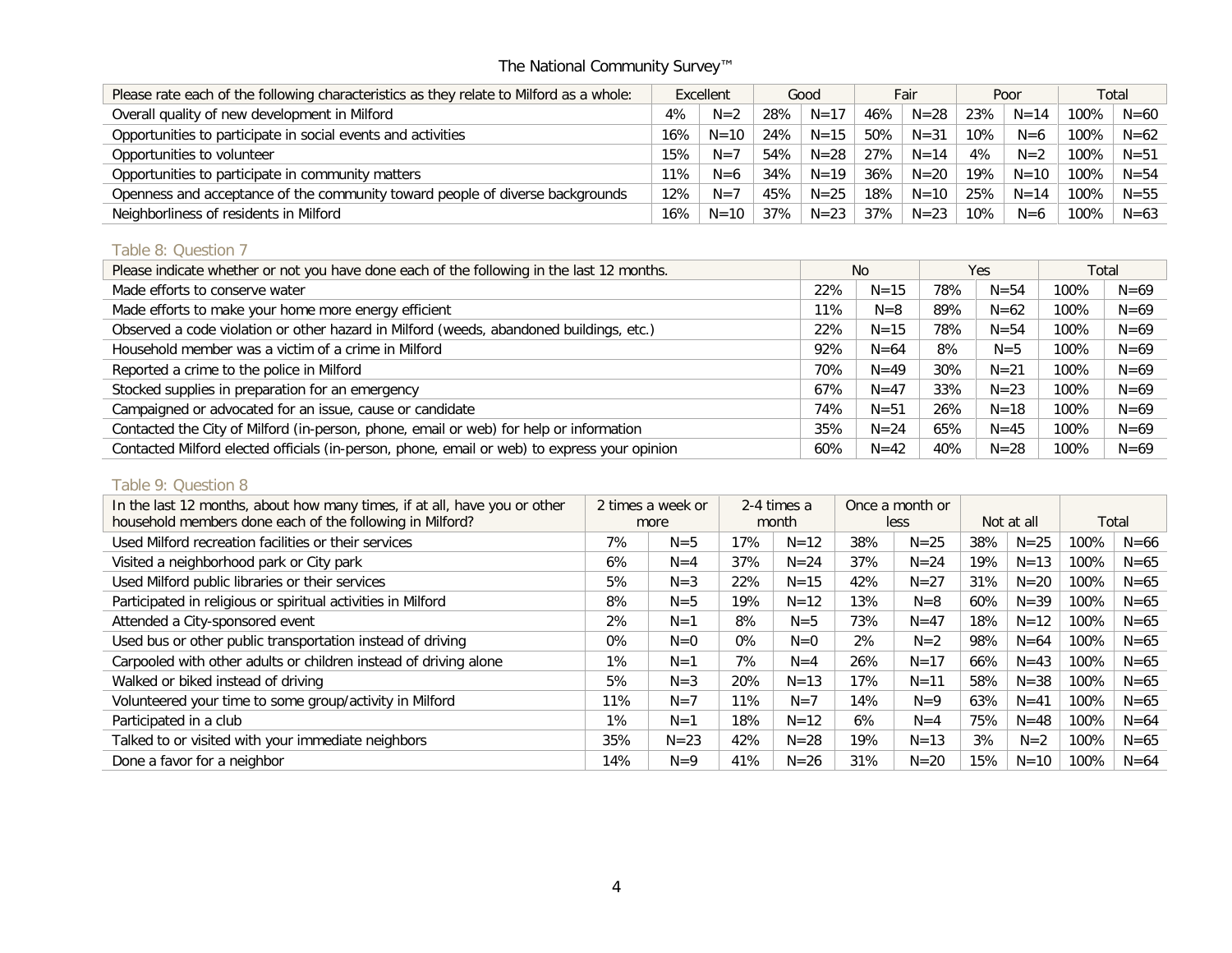| Please rate each of the following characteristics as they relate to Milford as a whole: |        | Excellent |     | Good      |     | Fair     |        | Poor     | Total   |          |
|-----------------------------------------------------------------------------------------|--------|-----------|-----|-----------|-----|----------|--------|----------|---------|----------|
| Overall quality of new development in Milford                                           | 4%     | $N=2$     | 28% | $N = 1^-$ | 46% | $N = 28$ | 23%    | $N = 14$ | $100\%$ | $N = 60$ |
| Opportunities to participate in social events and activities                            | 16%    | $N = 10$  | 24% | $N = 15$  | 50% | $N = 31$ | 10%    | $N=6$    | 100%    | $N = 62$ |
| Opportunities to volunteer                                                              | 15%    | $N=7$     | 54% | $N = 28$  | 27% | $N = 14$ | 4%     | $N=2$    | $100\%$ | $N = 51$ |
| Opportunities to participate in community matters                                       | $11\%$ | $N=6$     | 34% | $N = 19$  | 36% | $N = 20$ | 19%    | $N = 10$ | $100\%$ | $N = 54$ |
| Openness and acceptance of the community toward people of diverse backgrounds           | 12%    | $N=7$     | 45% | $N = 25$  | 18% | $N = 10$ | 25%    | $N = 14$ | $100\%$ | $N = 55$ |
| Neighborliness of residents in Milford                                                  | 16%    | $N = 10$  | 37% | $N = 23$  | 37% | $N = 23$ | $10\%$ | $N=6$    | 100%    | $N = 63$ |

## Table 8: Question 7

| Please indicate whether or not you have done each of the following in the last 12 months.    |     | No.      |     | Yes      |      | Total    |
|----------------------------------------------------------------------------------------------|-----|----------|-----|----------|------|----------|
| Made efforts to conserve water                                                               | 22% | $N = 15$ | 78% | $N = 54$ | 100% | $N = 69$ |
| Made efforts to make your home more energy efficient                                         | 11% | $N=8$    | 89% | $N = 62$ | 100% | $N = 69$ |
| Observed a code violation or other hazard in Milford (weeds, abandoned buildings, etc.)      | 22% | $N = 15$ | 78% | $N = 54$ | 100% | $N = 69$ |
| Household member was a victim of a crime in Milford                                          | 92% | $N = 64$ | 8%  | $N = 5$  | 100% | $N = 69$ |
| Reported a crime to the police in Milford                                                    | 70% | $N = 49$ | 30% | $N = 21$ | 100% | $N = 69$ |
| Stocked supplies in preparation for an emergency                                             | 67% | $N = 47$ | 33% | $N = 23$ | 100% | $N = 69$ |
| Campaigned or advocated for an issue, cause or candidate                                     | 74% | $N = 51$ | 26% | $N = 18$ | 100% | $N = 69$ |
| Contacted the City of Milford (in-person, phone, email or web) for help or information       | 35% | $N = 24$ | 65% | $N = 45$ | 100% | $N = 69$ |
| Contacted Milford elected officials (in-person, phone, email or web) to express your opinion | 60% | $N = 42$ | 40% | $N = 28$ | 100% | $N = 69$ |

#### Table 9: Question 8

| In the last 12 months, about how many times, if at all, have you or other |       | 2 times a week or |       | 2-4 times a |     | Once a month or |     | Not at all |      |          |
|---------------------------------------------------------------------------|-------|-------------------|-------|-------------|-----|-----------------|-----|------------|------|----------|
| household members done each of the following in Milford?                  |       | more              |       | month       |     | less            |     |            |      | Total    |
| Used Milford recreation facilities or their services                      | 7%    | $N = 5$           | 17%   | $N = 12$    | 38% | $N = 25$        | 38% | $N = 25$   | 100% | $N = 66$ |
| Visited a neighborhood park or City park                                  | 6%    | $N = 4$           | 37%   | $N = 24$    | 37% | $N = 24$        | 19% | $N = 13$   | 100% | $N = 65$ |
| Used Milford public libraries or their services                           | 5%    | $N = 3$           | 22%   | $N = 15$    | 42% | $N = 27$        | 31% | $N = 20$   | 100% | $N = 65$ |
| Participated in religious or spiritual activities in Milford              | 8%    | $N = 5$           | 19%   | $N = 12$    | 13% | $N=8$           | 60% | $N = 39$   | 100% | $N = 65$ |
| Attended a City-sponsored event                                           | 2%    | $N=1$             | 8%    | $N = 5$     | 73% | $N = 47$        | 18% | $N = 12$   | 100% | $N = 65$ |
| Used bus or other public transportation instead of driving                | $0\%$ | $N=0$             | $0\%$ | $N=0$       | 2%  | $N=2$           | 98% | $N = 64$   | 100% | $N = 65$ |
| Carpooled with other adults or children instead of driving alone          | 1%    | $N=1$             | 7%    | $N = 4$     | 26% | $N = 17$        | 66% | $N = 43$   | 100% | $N = 65$ |
| Walked or biked instead of driving                                        | 5%    | $N = 3$           | 20%   | $N = 13$    | 17% | $N = 11$        | 58% | $N = 38$   | 100% | $N = 65$ |
| Volunteered your time to some group/activity in Milford                   | 11%   | $N=7$             | 11%   | $N=7$       | 14% | $N=9$           | 63% | $N = 41$   | 100% | $N = 65$ |
| Participated in a club                                                    | $1\%$ | $N=1$             | 18%   | $N = 12$    | 6%  | $N = 4$         | 75% | $N = 48$   | 100% | $N = 64$ |
| Talked to or visited with your immediate neighbors                        | 35%   | $N = 23$          | 42%   | $N = 28$    | 19% | $N = 13$        | 3%  | $N=2$      | 100% | $N = 65$ |
| Done a favor for a neighbor                                               | 14%   | $N=9$             | 41%   | $N = 26$    | 31% | $N = 20$        | 15% | $N = 10$   | 100% | $N = 64$ |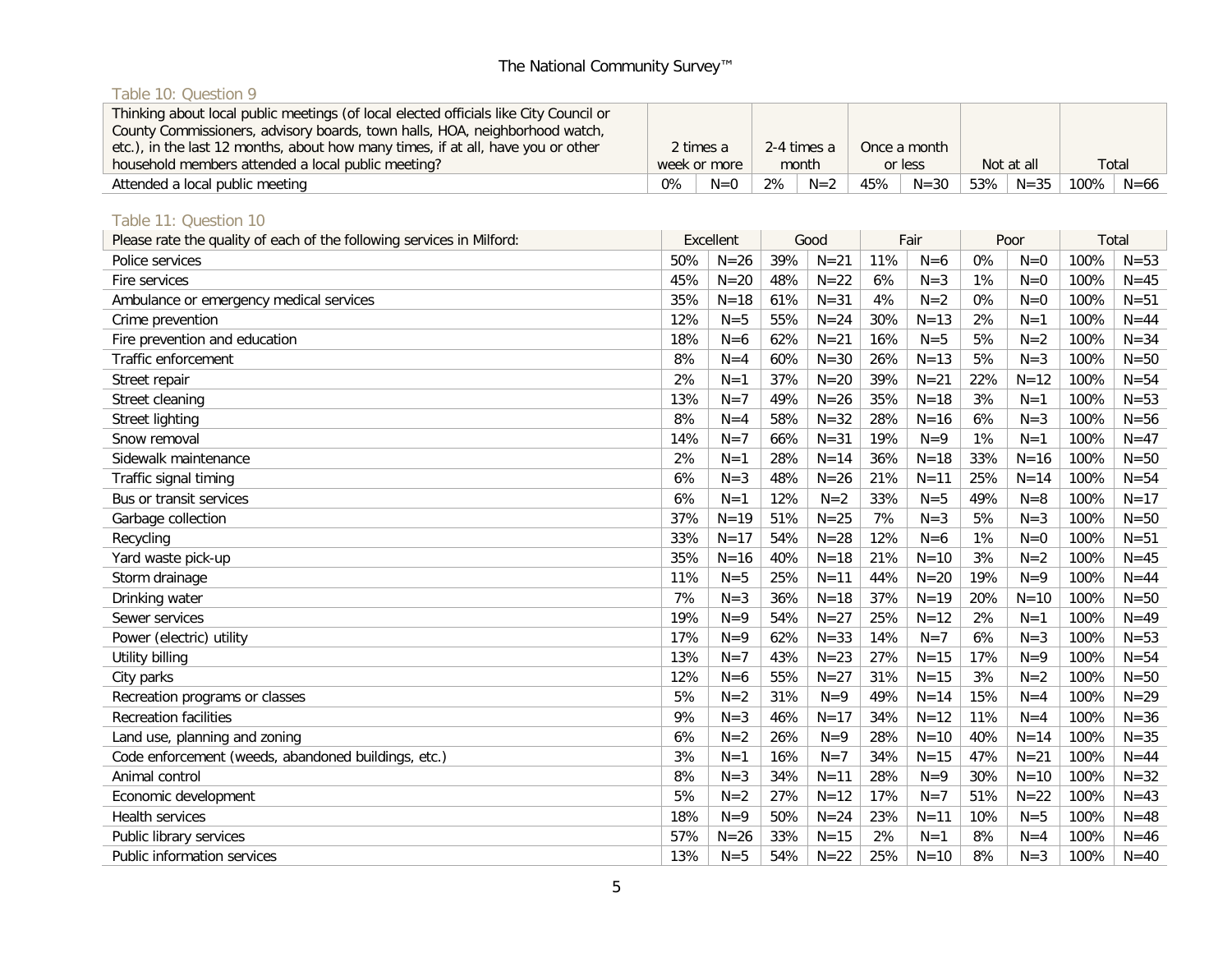# Table 10: Question 9

| Thinking about local public meetings (of local elected officials like City Council or<br>County Commissioners, advisory boards, town halls, HOA, neighborhood watch,<br>etc.), in the last 12 months, about how many times, if at all, have you or other |              |       |             |       |     | Once a month |        |            |         |          |
|----------------------------------------------------------------------------------------------------------------------------------------------------------------------------------------------------------------------------------------------------------|--------------|-------|-------------|-------|-----|--------------|--------|------------|---------|----------|
|                                                                                                                                                                                                                                                          | 2 times a    |       | 2-4 times a |       |     |              |        |            |         |          |
| household members attended a local public meeting?                                                                                                                                                                                                       | week or more |       |             | month |     | or less      |        | Not at all | Total   |          |
| Attended a local public meeting                                                                                                                                                                                                                          | 0%           | $N=0$ | 2%          | $N=2$ | 45% | $N = 30$     | $53\%$ | $N = 35$   | $100\%$ | $N = 66$ |

# Table 11: Question 10

| Please rate the quality of each of the following services in Milford: | Excellent |          |     | Good     |     | Fair     |     | Poor     | Total |          |
|-----------------------------------------------------------------------|-----------|----------|-----|----------|-----|----------|-----|----------|-------|----------|
| Police services                                                       | 50%       | $N = 26$ | 39% | $N = 21$ | 11% | $N=6$    | 0%  | $N=0$    | 100%  | $N = 53$ |
| Fire services                                                         | 45%       | $N = 20$ | 48% | $N=22$   | 6%  | $N=3$    | 1%  | $N=0$    | 100%  | $N = 45$ |
| Ambulance or emergency medical services                               | 35%       | $N = 18$ | 61% | $N = 31$ | 4%  | $N=2$    | 0%  | $N=0$    | 100%  | $N = 51$ |
| Crime prevention                                                      | 12%       | $N = 5$  | 55% | $N = 24$ | 30% | $N = 13$ | 2%  | $N=1$    | 100%  | $N = 44$ |
| Fire prevention and education                                         | 18%       | $N=6$    | 62% | $N = 21$ | 16% | $N=5$    | 5%  | $N=2$    | 100%  | $N = 34$ |
| Traffic enforcement                                                   | 8%        | $N=4$    | 60% | $N = 30$ | 26% | $N = 13$ | 5%  | $N=3$    | 100%  | $N = 50$ |
| Street repair                                                         | 2%        | $N=1$    | 37% | $N = 20$ | 39% | $N = 21$ | 22% | $N = 12$ | 100%  | $N = 54$ |
| Street cleaning                                                       | 13%       | $N=7$    | 49% | $N = 26$ | 35% | $N = 18$ | 3%  | $N=1$    | 100%  | $N = 53$ |
| Street lighting                                                       | 8%        | $N=4$    | 58% | $N = 32$ | 28% | $N = 16$ | 6%  | $N=3$    | 100%  | $N = 56$ |
| Snow removal                                                          | 14%       | $N=7$    | 66% | $N = 31$ | 19% | $N=9$    | 1%  | $N=1$    | 100%  | $N = 47$ |
| Sidewalk maintenance                                                  | 2%        | $N=1$    | 28% | $N = 14$ | 36% | $N = 18$ | 33% | $N = 16$ | 100%  | $N = 50$ |
| Traffic signal timing                                                 | 6%        | $N=3$    | 48% | $N = 26$ | 21% | $N = 11$ | 25% | $N = 14$ | 100%  | $N = 54$ |
| Bus or transit services                                               | 6%        | $N=1$    | 12% | $N=2$    | 33% | $N = 5$  | 49% | $N=8$    | 100%  | $N=17$   |
| Garbage collection                                                    | 37%       | $N = 19$ | 51% | $N = 25$ | 7%  | $N=3$    | 5%  | $N = 3$  | 100%  | $N = 50$ |
| Recycling                                                             | 33%       | $N=17$   | 54% | $N = 28$ | 12% | $N=6$    | 1%  | $N=0$    | 100%  | $N = 51$ |
| Yard waste pick-up                                                    | 35%       | $N = 16$ | 40% | $N=18$   | 21% | $N=10$   | 3%  | $N=2$    | 100%  | $N = 45$ |
| Storm drainage                                                        | 11%       | $N = 5$  | 25% | $N = 11$ | 44% | $N = 20$ | 19% | $N=9$    | 100%  | $N = 44$ |
| Drinking water                                                        | 7%        | $N = 3$  | 36% | $N = 18$ | 37% | $N=19$   | 20% | $N = 10$ | 100%  | $N = 50$ |
| Sewer services                                                        | 19%       | $N=9$    | 54% | $N=27$   | 25% | $N=12$   | 2%  | $N=1$    | 100%  | $N = 49$ |
| Power (electric) utility                                              | 17%       | $N=9$    | 62% | $N = 33$ | 14% | $N=7$    | 6%  | $N = 3$  | 100%  | $N = 53$ |
| Utility billing                                                       | 13%       | $N=7$    | 43% | $N = 23$ | 27% | $N = 15$ | 17% | $N=9$    | 100%  | $N = 54$ |
| City parks                                                            | 12%       | $N=6$    | 55% | $N=27$   | 31% | $N = 15$ | 3%  | $N=2$    | 100%  | $N = 50$ |
| Recreation programs or classes                                        | 5%        | $N=2$    | 31% | $N=9$    | 49% | $N = 14$ | 15% | $N = 4$  | 100%  | $N = 29$ |
| <b>Recreation facilities</b>                                          | 9%        | $N=3$    | 46% | $N=17$   | 34% | $N = 12$ | 11% | $N=4$    | 100%  | $N = 36$ |
| Land use, planning and zoning                                         | 6%        | $N=2$    | 26% | $N=9$    | 28% | $N = 10$ | 40% | $N = 14$ | 100%  | $N = 35$ |
| Code enforcement (weeds, abandoned buildings, etc.)                   | 3%        | $N=1$    | 16% | $N=7$    | 34% | $N = 15$ | 47% | $N = 21$ | 100%  | $N = 44$ |
| Animal control                                                        | 8%        | $N=3$    | 34% | $N = 11$ | 28% | $N=9$    | 30% | $N = 10$ | 100%  | $N = 32$ |
| Economic development                                                  | 5%        | $N=2$    | 27% | $N = 12$ | 17% | $N=7$    | 51% | $N = 22$ | 100%  | $N = 43$ |
| <b>Health services</b>                                                | 18%       | $N=9$    | 50% | $N = 24$ | 23% | $N = 11$ | 10% | $N = 5$  | 100%  | $N = 48$ |
| Public library services                                               | 57%       | $N = 26$ | 33% | $N = 15$ | 2%  | $N=1$    | 8%  | $N=4$    | 100%  | $N = 46$ |
| Public information services                                           | 13%       | $N = 5$  | 54% | $N=22$   | 25% | $N=10$   | 8%  | $N = 3$  | 100%  | $N = 40$ |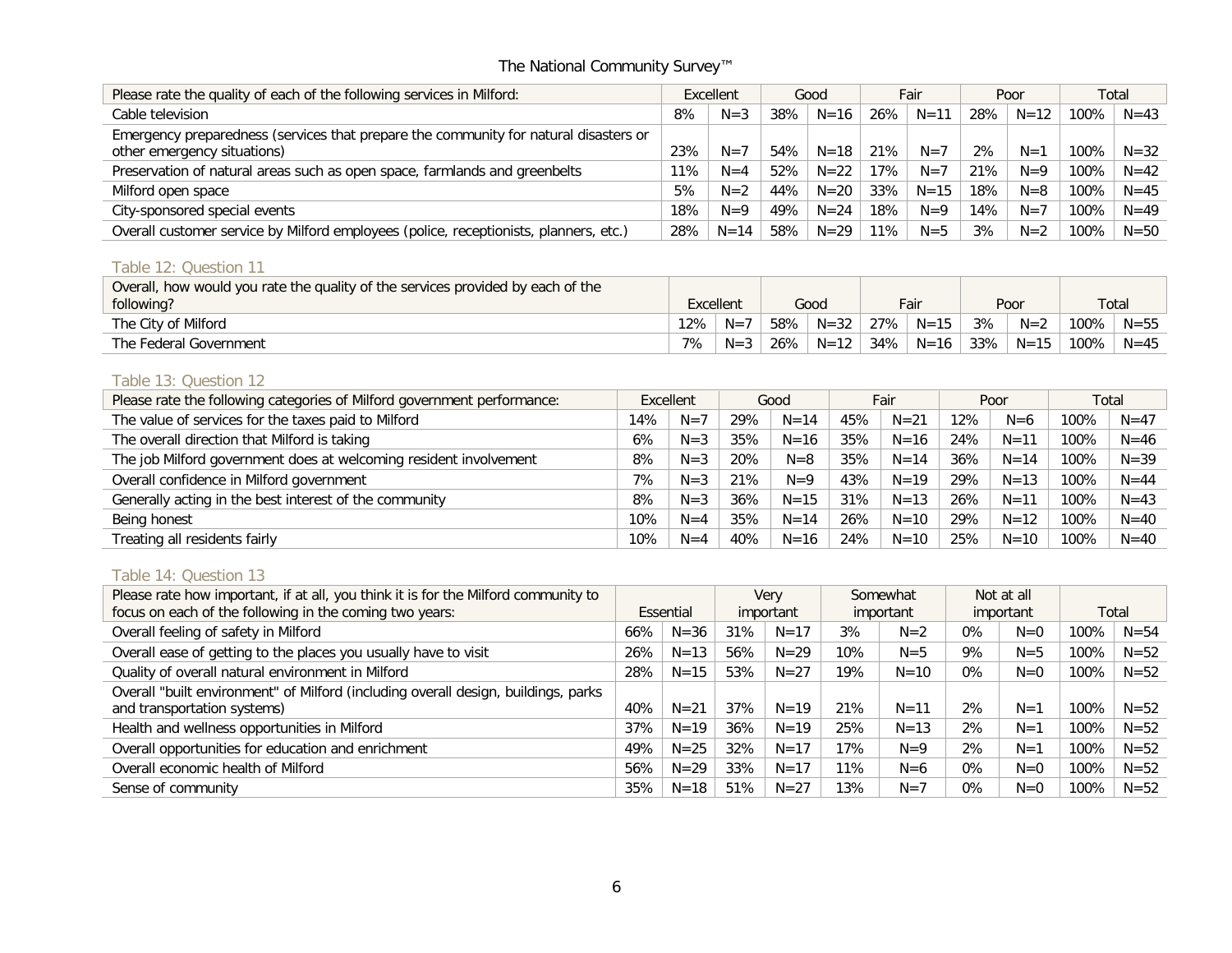| Please rate the quality of each of the following services in Milford:                                               | Excellent |          |     | Good     |     | Fair     |     | Poor     | Total |          |
|---------------------------------------------------------------------------------------------------------------------|-----------|----------|-----|----------|-----|----------|-----|----------|-------|----------|
| Cable television                                                                                                    | 8%        | $N=3$    | 38% | $N = 16$ | 26% | $N = 11$ | 28% | $N = 12$ | 100%  | $N = 43$ |
| Emergency preparedness (services that prepare the community for natural disasters or<br>other emergency situations) | 23%       | $N = 7$  | 54% | $N = 18$ | 21% | $N=7$    | 2%  | $N=1$    | 100%  | $N = 32$ |
| Preservation of natural areas such as open space, farmlands and greenbelts                                          | 11%       | $N = 4$  | 52% | $N = 22$ | 17% | $N=7$    | 21% | $N=9$    | 100%  | $N = 42$ |
| Milford open space                                                                                                  | 5%        | $N=2$    | 44% | $N = 20$ | 33% | $N = 15$ | 18% | $N = 8$  | 100%  | $N = 45$ |
| City-sponsored special events                                                                                       | 18%       | $N=9$    | 49% | $N = 24$ | 18% | $N=9$    | 14% | $N=7$    | 100%  | $N = 49$ |
| Overall customer service by Milford employees (police, receptionists, planners, etc.)                               | 28%       | $N = 14$ | 58% | $N = 29$ | 11% | $N = 5$  | 3%  | $N=2$    | 100%  | $N = 50$ |

# Table 12: Question 11

| Overall, how would you rate the quality of the services provided by each of the |           |         |      |          |      |          |      |          |         |                        |
|---------------------------------------------------------------------------------|-----------|---------|------|----------|------|----------|------|----------|---------|------------------------|
| following?                                                                      | Excellent |         | Good |          | Fair |          | Poor |          |         | $\tau$ <sub>otal</sub> |
| The City of Milford                                                             | 12%       | $N=7$   | 58%  | $N = 32$ | 27%  | $N = 15$ | 3%   | $N=2$    | 100%    | $N = 55$               |
| The Federal Government                                                          | 7%        | $N = 3$ | 26%  | $N = 12$ | 34%  | $N = 16$ | 33%  | $N = 15$ | $100\%$ | $N = 45$               |

# Table 13: Question 12

| Please rate the following categories of Milford government performance: |     | Excellent | Good |          | Fair |          | Poor |          | Total |          |
|-------------------------------------------------------------------------|-----|-----------|------|----------|------|----------|------|----------|-------|----------|
| The value of services for the taxes paid to Milford                     | 14% | $N =$     | 29%  | $N = 14$ | 45%  | $N = 21$ | 12%  | $N=6$    | 100%  | $N = 47$ |
| The overall direction that Milford is taking                            | 6%  | $N = 3$   | 35%  | $N = 16$ | 35%  | $N=16$   | 24%  | $N = 11$ | 100%  | $N = 46$ |
| The job Milford government does at welcoming resident involvement       | 8%  | $N = 3$   | 20%  | $N = 8$  | 35%  | $N = 14$ | 36%  | $N = 14$ | 100%  | $N = 39$ |
| Overall confidence in Milford government                                | 7%  | $N = 3$   | 21%  | $N=9$    | 43%  | $N = 19$ | 29%  | $N = 13$ | 100%  | $N = 44$ |
| Generally acting in the best interest of the community                  | 8%  | $N = 3$   | 36%  | $N = 15$ | 31%  | $N = 13$ | 26%  | $N = 11$ | 100%  | $N = 43$ |
| Being honest                                                            | 10% | $N = 4$   | 35%  | $N = 14$ | 26%  | $N = 10$ | 29%  | $N = 12$ | 100%  | $N = 40$ |
| Treating all residents fairly                                           | 10% | $N = 4$   | 40%  | $N = 16$ | 24%  | $N = 10$ | 25%  | $N = 10$ | 100%  | $N = 40$ |

# Table 14: Question 13

| Please rate how important, if at all, you think it is for the Milford community to |     |           |     | <b>Very</b> |           | Somewhat |           | Not at all |       |          |
|------------------------------------------------------------------------------------|-----|-----------|-----|-------------|-----------|----------|-----------|------------|-------|----------|
| focus on each of the following in the coming two years:                            |     | Essential |     | important   | important |          | important |            | Total |          |
| Overall feeling of safety in Milford                                               | 66% | $N = 36$  | 31% | $N = 17$    | 3%        | $N=2$    | $0\%$     | $N=0$      | 100%  | $N = 54$ |
| Overall ease of getting to the places you usually have to visit                    | 26% | $N = 13$  | 56% | $N = 29$    | 10%       | $N = 5$  | 9%        | $N = 5$    | 100%  | $N = 52$ |
| Quality of overall natural environment in Milford                                  | 28% | $N = 15$  | 53% | $N = 27$    | 19%       | $N = 10$ | $0\%$     | $N=0$      | 100%  | $N = 52$ |
| Overall "built environment" of Milford (including overall design, buildings, parks |     |           |     |             |           |          |           |            |       |          |
| and transportation systems)                                                        | 40% | $N = 21$  | 37% | $N = 19$    | 21%       | $N = 11$ | 2%        | $N=1$      | 100%  | $N = 52$ |
| Health and wellness opportunities in Milford                                       | 37% | $N = 19$  | 36% | $N = 19$    | 25%       | $N = 13$ | 2%        | $N=1$      | 100%  | $N = 52$ |
| Overall opportunities for education and enrichment                                 | 49% | $N = 25$  | 32% | $N = 17$    | 17%       | $N=9$    | 2%        | $N=1$      | 100%  | $N = 52$ |
| Overall economic health of Milford                                                 | 56% | $N = 29$  | 33% | $N = 17$    | 11%       | $N=6$    | $0\%$     | $N=0$      | 100%  | $N = 52$ |
| Sense of community                                                                 | 35% | $N = 18$  | 51% | $N = 27$    | 13%       | $N=7$    | $0\%$     | $N=0$      | 100%  | $N = 52$ |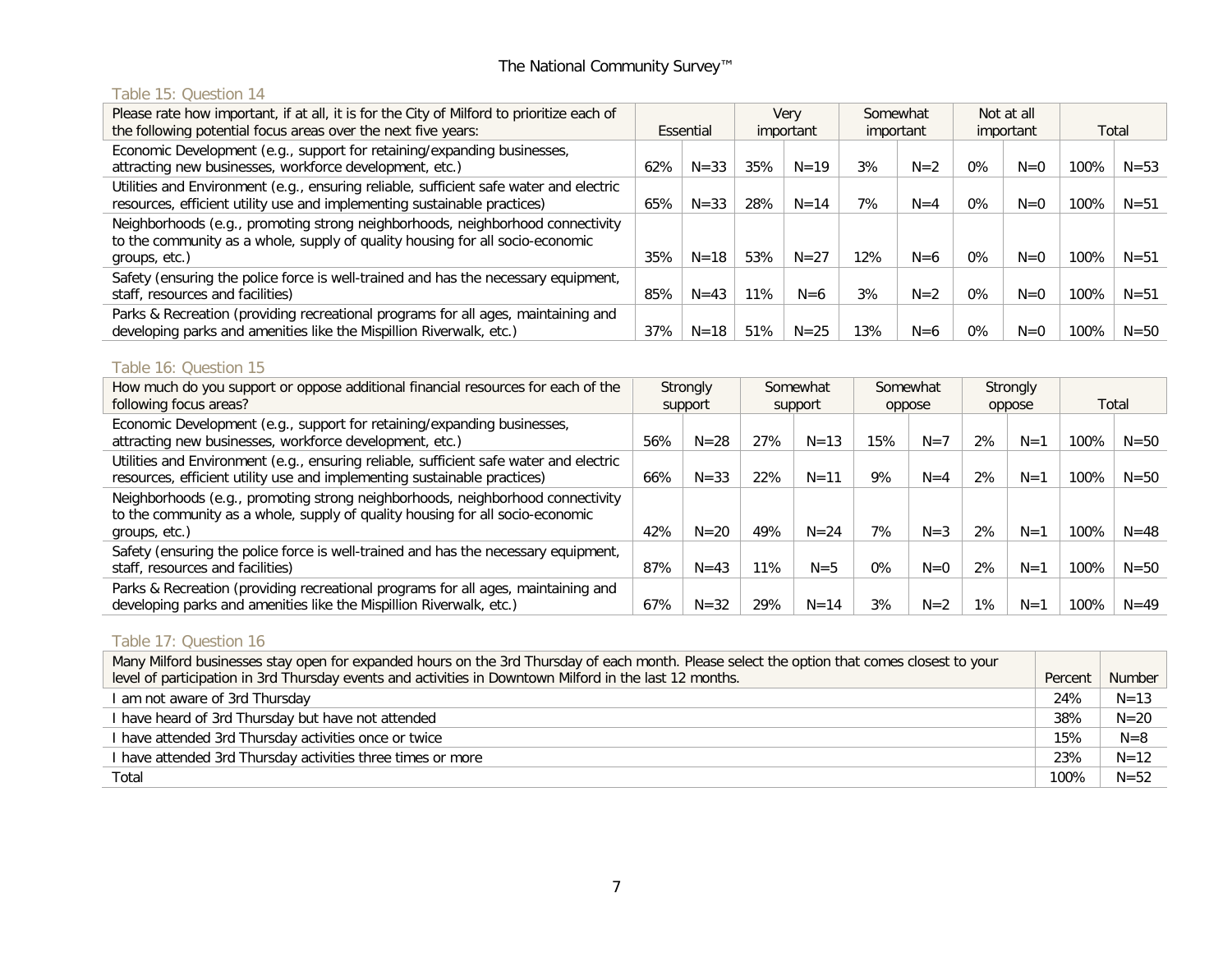## Table 15: Question 14

| Please rate how important, if at all, it is for the City of Milford to prioritize each of<br>the following potential focus areas over the next five years:                       |     | Essential | Verv<br>important |          | Somewhat<br>important |         |       | Not at all<br>important | Total |          |
|----------------------------------------------------------------------------------------------------------------------------------------------------------------------------------|-----|-----------|-------------------|----------|-----------------------|---------|-------|-------------------------|-------|----------|
| Economic Development (e.g., support for retaining/expanding businesses,<br>attracting new businesses, workforce development, etc.)                                               | 62% | $N = 33$  | 35%               | $N = 19$ | 3%                    | $N=2$   | $0\%$ | $N=0$                   | 100%  | $N = 53$ |
| Utilities and Environment (e.g., ensuring reliable, sufficient safe water and electric<br>resources, efficient utility use and implementing sustainable practices)               | 65% | $N = 33$  | 28%               | $N = 14$ | 7%                    | $N = 4$ | $0\%$ | $N=0$                   | 100%  | $N = 51$ |
| Neighborhoods (e.g., promoting strong neighborhoods, neighborhood connectivity<br>to the community as a whole, supply of quality housing for all socio-economic<br>groups, etc.) | 35% | $N = 18$  | 53%               | $N = 27$ | 12%                   | $N=6$   | $0\%$ | $N=0$                   | 100%  | $N = 51$ |
| Safety (ensuring the police force is well-trained and has the necessary equipment,<br>staff, resources and facilities)                                                           | 85% | $N = 43$  | 11%               | $N=6$    | 3%                    | $N=2$   | $0\%$ | $N=0$                   | 100%  | $N = 51$ |
| Parks & Recreation (providing recreational programs for all ages, maintaining and<br>developing parks and amenities like the Mispillion Riverwalk, etc.)                         | 37% | $N = 18$  | 51%               | $N = 25$ | 13%                   | $N=6$   | $0\%$ | $N=0$                   | 100%  | $N = 50$ |

# Table 16: Question 15

| How much do you support or oppose additional financial resources for each of the<br>following focus areas?                                                                       |     | Strongly<br>support | Somewhat<br>support |          | Somewhat<br>oppose |         | Strongly<br>oppose |         | Total |          |
|----------------------------------------------------------------------------------------------------------------------------------------------------------------------------------|-----|---------------------|---------------------|----------|--------------------|---------|--------------------|---------|-------|----------|
| Economic Development (e.g., support for retaining/expanding businesses,<br>attracting new businesses, workforce development, etc.)                                               | 56% | $N = 28$            | 27%                 | $N = 13$ | 15%                | $N=7$   | 2%                 | $N=1$   | 100%  | $N = 50$ |
| Utilities and Environment (e.g., ensuring reliable, sufficient safe water and electric<br>resources, efficient utility use and implementing sustainable practices)               | 66% | $N = 33$            | 22%                 | $N = 11$ | 9%                 | $N = 4$ | 2%                 | $N=1$   | 100%  | $N = 50$ |
| Neighborhoods (e.g., promoting strong neighborhoods, neighborhood connectivity<br>to the community as a whole, supply of quality housing for all socio-economic<br>groups, etc.) | 42% | $N = 20$            | 49%                 | $N = 24$ | 7%                 | $N = 3$ | 2%                 | $N=1$   | 100%  | $N = 48$ |
| Safety (ensuring the police force is well-trained and has the necessary equipment,<br>staff, resources and facilities)                                                           | 87% | $N = 43$            | $1\%$               | $N = 5$  | $0\%$              | $N=0$   | 2%                 | $N=1$   | 100%  | $N = 50$ |
| Parks & Recreation (providing recreational programs for all ages, maintaining and<br>developing parks and amenities like the Mispillion Riverwalk, etc.)                         | 67% | $N = 32$            | 29%                 | $N = 14$ | 3%                 | $N=2$   | 1%                 | $N = 1$ | 100%  | $N = 49$ |

# Table 17: Question 16

| Many Milford businesses stay open for expanded hours on the 3rd Thursday of each month. Please select the option that comes closest to your |         |          |
|---------------------------------------------------------------------------------------------------------------------------------------------|---------|----------|
| level of participation in 3rd Thursday events and activities in Downtown Milford in the last 12 months.                                     | Percent | Number   |
| I am not aware of 3rd Thursday                                                                                                              | 24%     | $N = 13$ |
| I have heard of 3rd Thursday but have not attended                                                                                          | 38%     | $N = 20$ |
| I have attended 3rd Thursday activities once or twice                                                                                       | 15%     | $N=8$    |
| I have attended 3rd Thursday activities three times or more                                                                                 | 23%     | $N = 12$ |
| Total                                                                                                                                       | 100%    | $N = 52$ |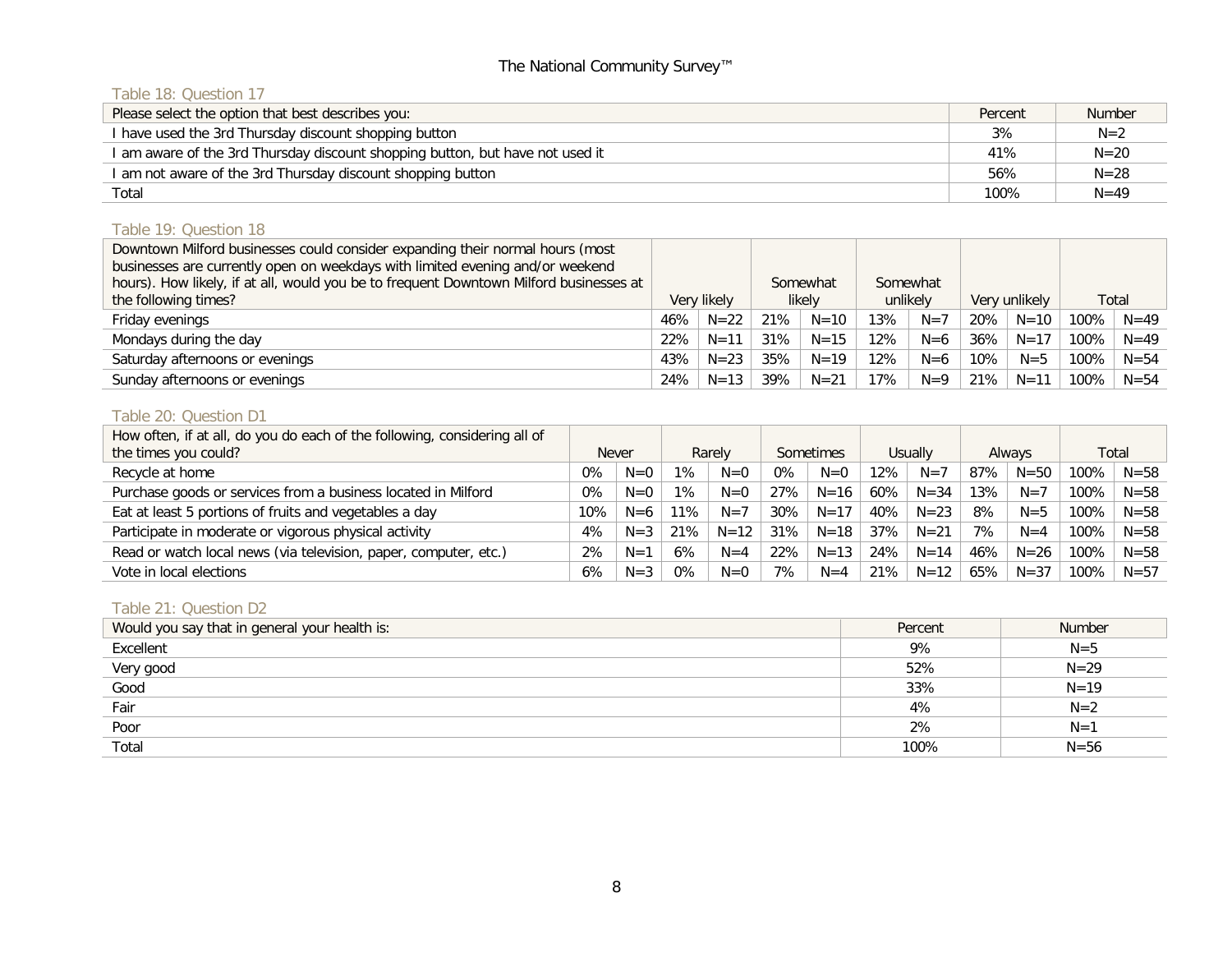## Table 18: Question 17

| Please select the option that best describes you:                             | Percent | Number   |
|-------------------------------------------------------------------------------|---------|----------|
| I have used the 3rd Thursday discount shopping button                         | 3%      | $N=2$    |
| I am aware of the 3rd Thursday discount shopping button, but have not used it | 41%     | $N = 20$ |
| I am not aware of the 3rd Thursday discount shopping button                   | 56%     | $N = 28$ |
| Total                                                                         | 100%    | $N = 49$ |

# Table 19: Question 18

| Downtown Milford businesses could consider expanding their normal hours (most          |             |          |     |          |          |          |        |               |      |          |
|----------------------------------------------------------------------------------------|-------------|----------|-----|----------|----------|----------|--------|---------------|------|----------|
| businesses are currently open on weekdays with limited evening and/or weekend          |             |          |     |          |          |          |        |               |      |          |
| hours). How likely, if at all, would you be to frequent Downtown Milford businesses at |             |          |     | Somewhat | Somewhat |          |        |               |      |          |
| the following times?                                                                   | Very likely |          |     | likely   |          | unlikely |        | Very unlikely |      | Total    |
| Friday evenings                                                                        | 46%         | $N = 22$ | 21% | $N = 10$ | 13%      | $N=7$    | 20%    | $N = 10$      | 100% | $N = 49$ |
| Mondays during the day                                                                 | 22%         | $N = 11$ | 31% | $N = 15$ | 12%      | $N=6$    | 36%    | $N = 17$      | 100% | $N = 49$ |
| Saturday afternoons or evenings                                                        | 43%         | $N = 23$ | 35% | $N = 19$ | 12%      | $N=6$    | $10\%$ | $N = 5$       | 100% | $N = 54$ |
| Sunday afternoons or evenings                                                          | 24%         | $N = 13$ | 39% | $N = 21$ | 17%      | $N=9$    | 21%    | $N = 11$      | 100% | $N = 54$ |

#### Table 20: Question D1

| How often, if at all, do you do each of the following, considering all of |                        |         |       |           |                   |          |       |          |     |          |      |          |
|---------------------------------------------------------------------------|------------------------|---------|-------|-----------|-------------------|----------|-------|----------|-----|----------|------|----------|
| the times you could?                                                      | <b>Never</b><br>Rarely |         |       | Sometimes | Usually<br>Always |          | Total |          |     |          |      |          |
| Recycle at home                                                           | $0\%$                  | $N=0$   | $1\%$ | $N=0$     | $0\%$             | $N=0$    | 12%   | $N=7$    | 87% | $N = 50$ | 100% | $N = 58$ |
| Purchase goods or services from a business located in Milford             | 0%                     | $N=0$   | $1\%$ | $N=0$     | 27%               | $N = 16$ | 60%   | $N = 34$ | 13% | $N=7$    | 100% | $N = 58$ |
| Eat at least 5 portions of fruits and vegetables a day                    | $10\%$                 | $N=6$   | 11%   | $N=7$     | 30%               | $N = 17$ | 40%   | $N = 23$ | 8%  | $N = 5$  | 100% | $N = 58$ |
| Participate in moderate or vigorous physical activity                     | 4%                     | $N = 3$ | 21%   | $N = 12$  | 31%               | $N = 18$ | 37%   | $N = 21$ | 7%  | $N = 4$  | 100% | $N = 58$ |
| Read or watch local news (via television, paper, computer, etc.)          | 2%                     | $N=1$   | 6%    | $N = 4$   | 22%               | $N = 13$ | 24%   | $N = 14$ | 46% | $N = 26$ | 100% | $N = 58$ |
| Vote in local elections                                                   | 6%                     | $N = 3$ | $0\%$ | $N=0$     | 7%                | $N = 4$  | 21%   | $N = 12$ | 65% | $N = 37$ | 100% | $N = 57$ |

# Table 21: Question D2

| Would you say that in general your health is: | Percent | <b>Number</b> |
|-----------------------------------------------|---------|---------------|
| Excellent                                     | 9%      | $N=5$         |
| Very good                                     | 52%     | $N = 29$      |
| Good                                          | 33%     | $N = 19$      |
| Fair                                          | 4%      | $N=2$         |
| Poor                                          | 2%      | $N=1$         |
| Total                                         | 100%    | $N = 56$      |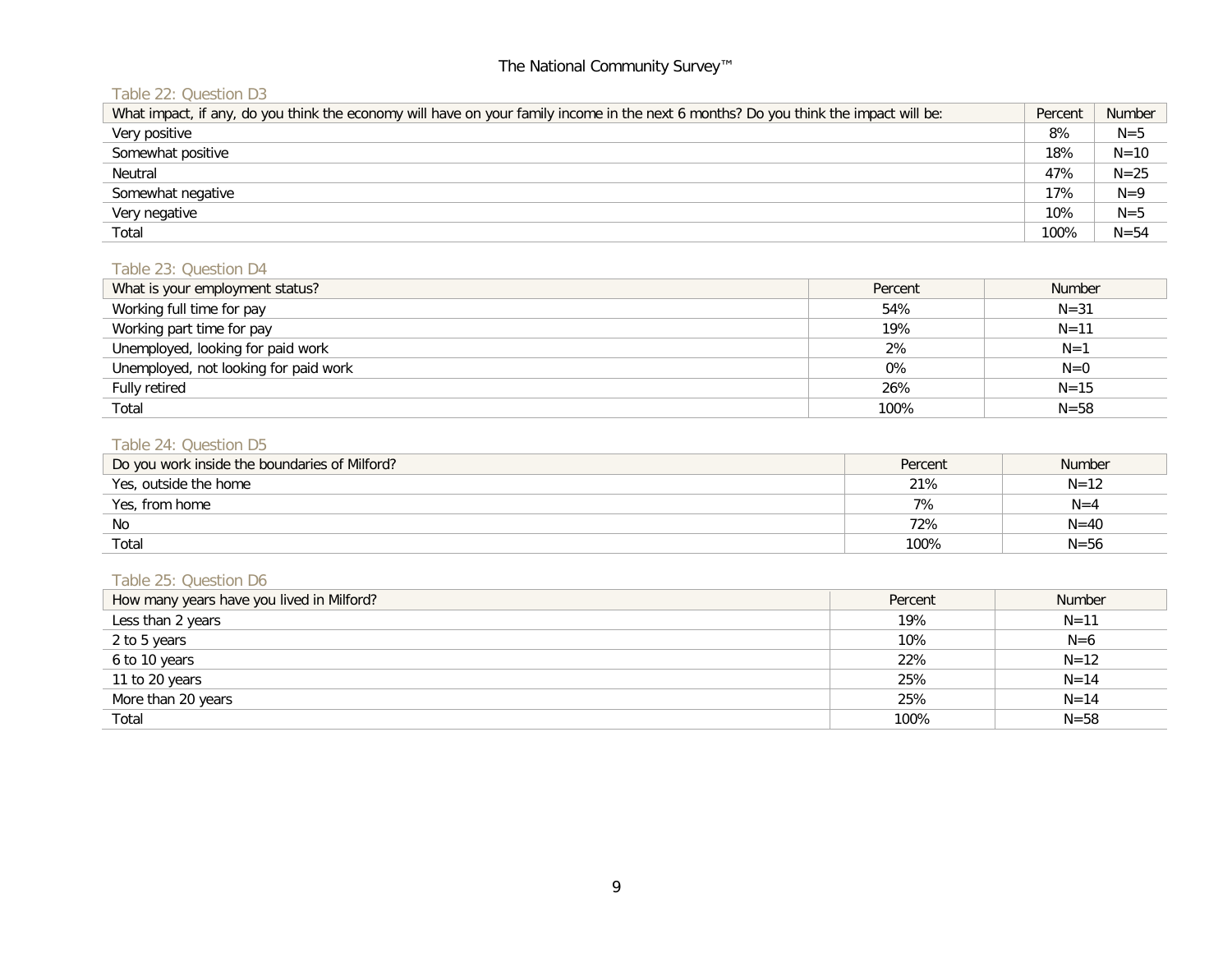# Table 22: Question D3

| What impact, if any, do you think the economy will have on your family income in the next 6 months? Do you think the impact will be: | Percent | <b>Number</b> |
|--------------------------------------------------------------------------------------------------------------------------------------|---------|---------------|
| Very positive                                                                                                                        | 8%      | $N = 5$       |
| Somewhat positive                                                                                                                    | 18%     | $N = 10$      |
| Neutral                                                                                                                              | 47%     | $N = 25$      |
| Somewhat negative                                                                                                                    | 17%     | $N=9$         |
| Very negative                                                                                                                        | 10%     | $N = 5$       |
| Total                                                                                                                                | 100%    | $N = 54$      |

### Table 23: Question D4

| What is your employment status?       | Percent | <b>Number</b> |
|---------------------------------------|---------|---------------|
| Working full time for pay             | 54%     | $N = 31$      |
| Working part time for pay             | 19%     | $N = 11$      |
| Unemployed, looking for paid work     | 2%      | $N=1$         |
| Unemployed, not looking for paid work | 0%      | $N=0$         |
| Fully retired                         | 26%     | $N = 15$      |
| Total                                 | 100%    | $N = 58$      |

# Table 24: Question D5

| Do you work inside the boundaries of Milford? | Percent | <b>Number</b> |
|-----------------------------------------------|---------|---------------|
| Yes, outside the home                         | 21%     | $N = 12$      |
| Yes, from home                                | 7%      | $N=4$         |
| No                                            | 72%     | $N = 40$      |
| Total                                         | 100%    | $N = 56$      |

# Table 25: Question D6

| How many years have you lived in Milford? | Percent | <b>Number</b> |
|-------------------------------------------|---------|---------------|
| Less than 2 years                         | 19%     | $N = 11$      |
| 2 to 5 years                              | 10%     | $N=6$         |
| 6 to 10 years                             | 22%     | $N = 12$      |
| 11 to 20 years                            | 25%     | $N = 14$      |
| More than 20 years                        | 25%     | $N = 14$      |
| Total                                     | 100%    | $N = 58$      |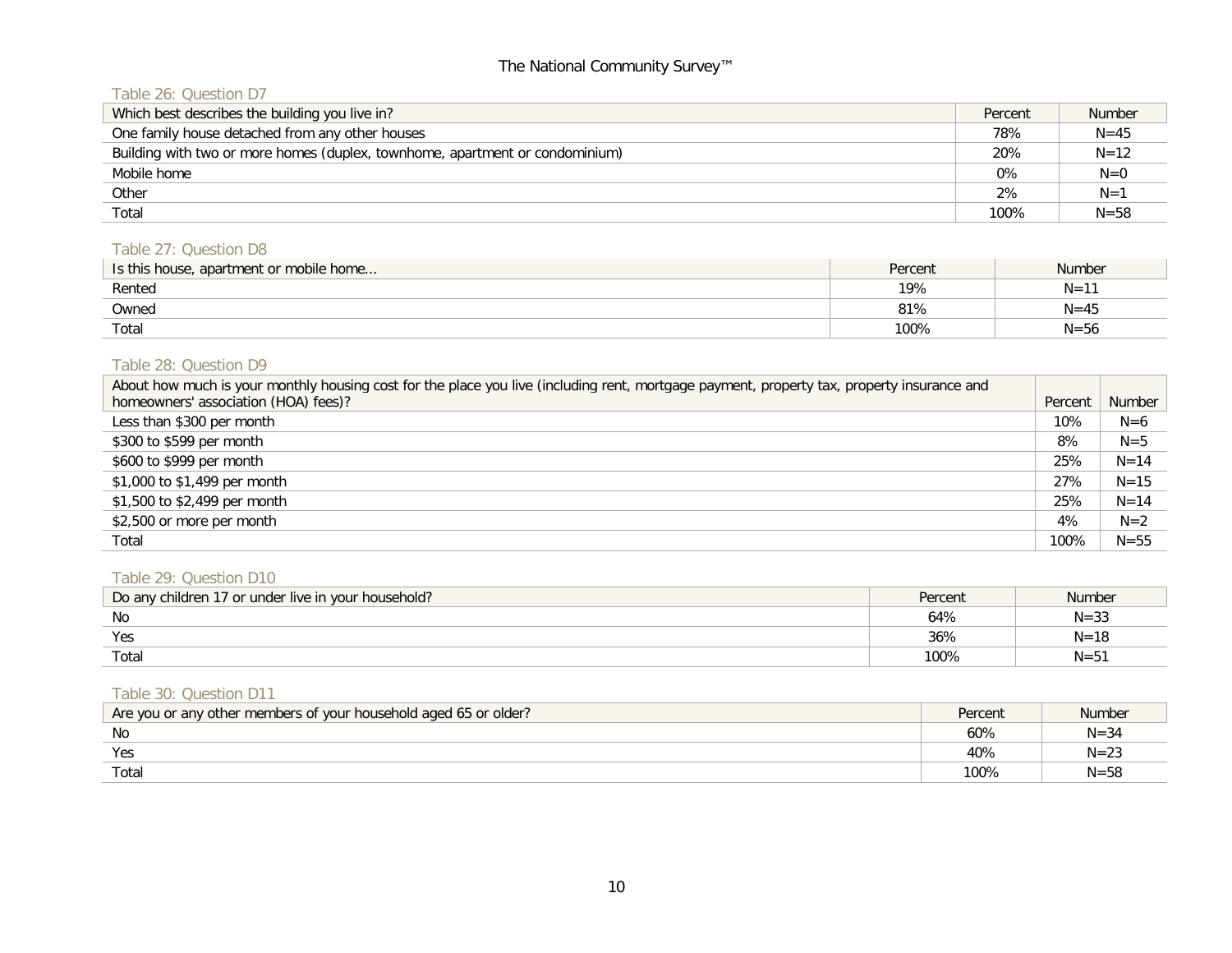# Table 26: Question D7

| Which best describes the building you live in?                               | Percent | <b>Number</b> |
|------------------------------------------------------------------------------|---------|---------------|
| One family house detached from any other houses                              | 78%     | $N = 45$      |
| Building with two or more homes (duplex, townhome, apartment or condominium) | 20%     | $N = 12$      |
| Mobile home                                                                  | 0%      | $N=0$         |
| Other                                                                        | 2%      | $N=1$         |
| Total                                                                        | 100%    | $N = 58$      |

# Table 27: Question D8

| Is this house, apartment or mobile home | Percent | <b>Number</b> |
|-----------------------------------------|---------|---------------|
| Rented                                  | 19%     | $N = 11$      |
| Owned                                   | 81%     | $N = 45$      |
| Total                                   | 100%    | $N = 56$      |

## Table 28: Question D9

| About how much is your monthly housing cost for the place you live (including rent, mortgage payment, property tax, property insurance and |         |          |
|--------------------------------------------------------------------------------------------------------------------------------------------|---------|----------|
| homeowners' association (HOA) fees)?                                                                                                       | Percent | Number   |
| Less than \$300 per month                                                                                                                  | 10%     | $N=6$    |
| \$300 to \$599 per month                                                                                                                   | 8%      | $N=5$    |
| \$600 to \$999 per month                                                                                                                   | 25%     | $N = 14$ |
| \$1,000 to \$1,499 per month                                                                                                               | 27%     | $N = 15$ |
| \$1,500 to \$2,499 per month                                                                                                               | 25%     | $N = 14$ |
| \$2,500 or more per month                                                                                                                  | 4%      | $N=2$    |
| Total                                                                                                                                      | 100%    | $N = 55$ |

# Table 29: Question D10

| Do any children 17 or under live in your household? | Percent | <b>Number</b> |
|-----------------------------------------------------|---------|---------------|
| No                                                  | 64%     | N=3ა          |
| Yes                                                 | 36%     |               |
| Totai                                               | 100%    | $N = ?$       |

#### Table 30: Question D11

| Are you or any other members of your household aged 65 or older? | Percent | Number   |
|------------------------------------------------------------------|---------|----------|
| No                                                               | 60%     | $N = 34$ |
| Yes                                                              | 40%     | $N = 23$ |
| Total                                                            | $100\%$ | $N = 58$ |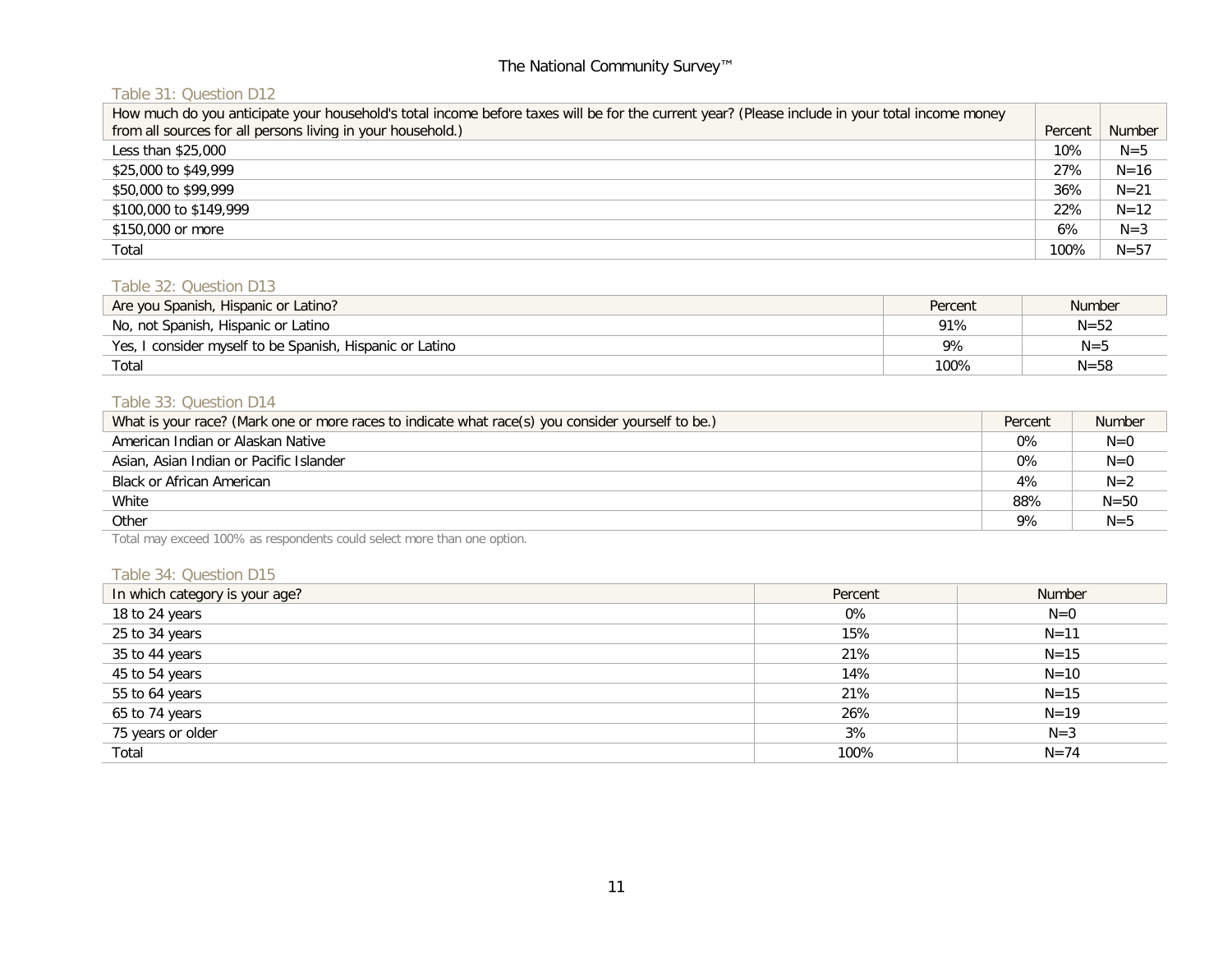# Table 31: Question D12

| How much do you anticipate your household's total income before taxes will be for the current year? (Please include in your total income money |         |          |
|------------------------------------------------------------------------------------------------------------------------------------------------|---------|----------|
| from all sources for all persons living in your household.)                                                                                    | Percent | Number   |
| Less than \$25,000                                                                                                                             | 10%     | $N = 5$  |
| \$25,000 to \$49,999                                                                                                                           | 27%     | $N = 16$ |
| \$50,000 to \$99,999                                                                                                                           | 36%     | $N = 21$ |
| \$100,000 to \$149,999                                                                                                                         | 22%     | $N = 12$ |
| \$150,000 or more                                                                                                                              | 6%      | $N=3$    |
| Total                                                                                                                                          | 100%    | $N = 57$ |

#### Table 32: Question D13

| Are you Spanish, Hispanic or Latino?                     | Percent | <b>Number</b> |
|----------------------------------------------------------|---------|---------------|
| No, not Spanish, Hispanic or Latino                      | 91%     | $N = 52$      |
| Yes, I consider myself to be Spanish, Hispanic or Latino | 9%      | $N = 5$       |
| Total                                                    | 100%    | $N = 58$      |

# Table 33: Question D14

| What is your race? (Mark one or more races to indicate what race(s) you consider yourself to be.) | Percent | <b>Number</b> |
|---------------------------------------------------------------------------------------------------|---------|---------------|
| American Indian or Alaskan Native                                                                 | 0%      | $N=0$         |
| Asian, Asian Indian or Pacific Islander                                                           | 0%      | $N=0$         |
| Black or African American                                                                         | 4%      | $N=2$         |
| White                                                                                             | 88%     | $N = 50$      |
| Other                                                                                             | 9%      | $N = 5$       |

Total may exceed 100% as respondents could select more than one option.

#### Table 34: Question D15

| In which category is your age? | Percent | Number   |
|--------------------------------|---------|----------|
| 18 to 24 years                 | 0%      | $N=0$    |
| 25 to 34 years                 | 15%     | $N = 11$ |
| 35 to 44 years                 | 21%     | $N = 15$ |
| 45 to 54 years                 | 14%     | $N = 10$ |
| 55 to 64 years                 | 21%     | $N = 15$ |
| 65 to 74 years                 | 26%     | $N = 19$ |
| 75 years or older              | 3%      | $N=3$    |
| Total                          | 100%    | $N = 74$ |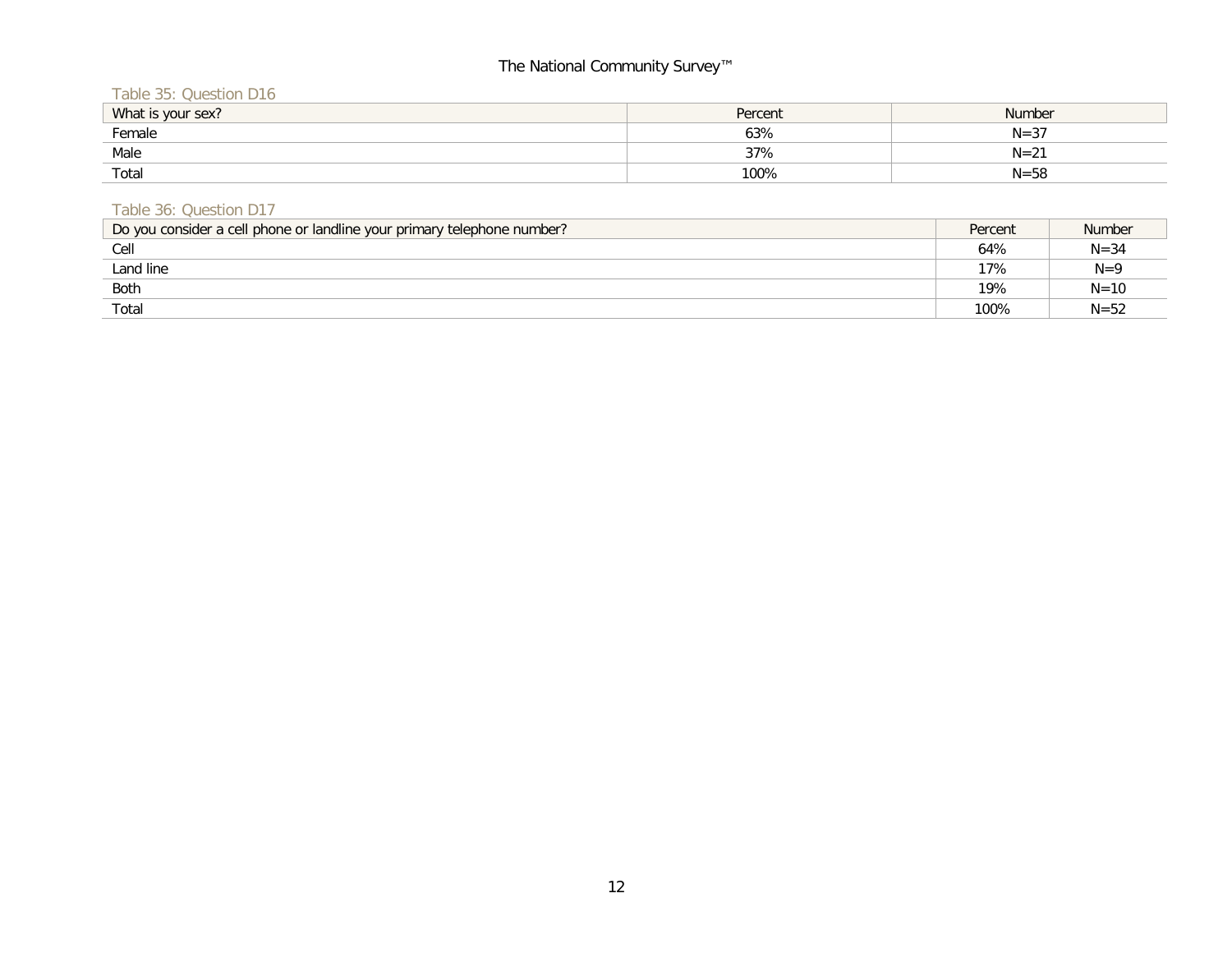Table 35: Question D16

| What is your sex? | Percent | <b>Number</b>   |
|-------------------|---------|-----------------|
| Female            | 63%     | $N = 37$        |
| Male              | 37%     | $N=2^{\degree}$ |
| Total             | 100%    | $N = 58$        |

### Table 36: Question D17

| Do you consider a cell phone or landline your primary telephone number? | Percent | <b>Number</b> |
|-------------------------------------------------------------------------|---------|---------------|
| Cell                                                                    | 64%     | $N = 34$      |
| Land line                                                               | 17%     | $N=9$         |
| Both                                                                    | 19%     | $N = 10$      |
| Total                                                                   | 100%    | $N = 52$      |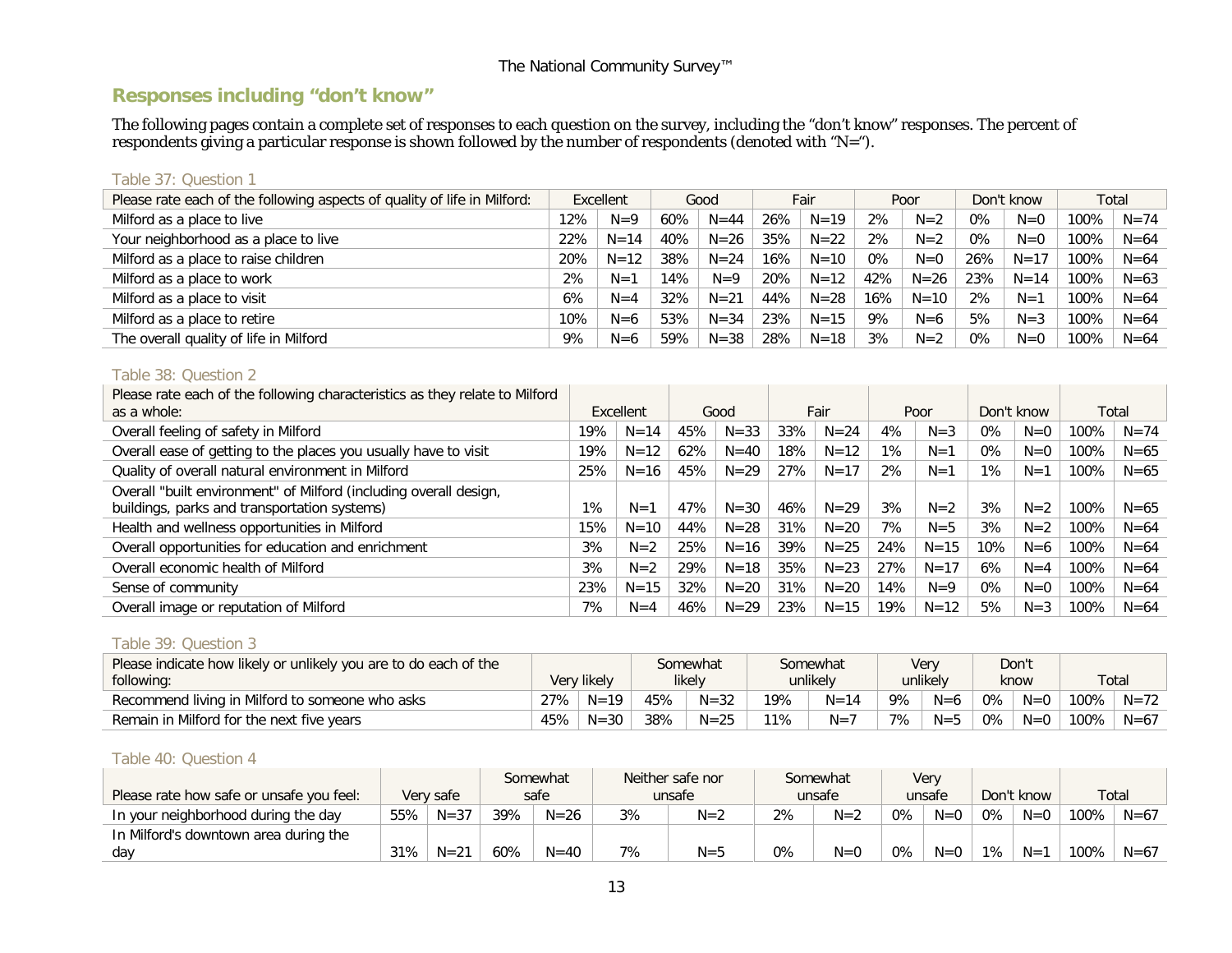# **Responses including "don't know"**

The following pages contain a complete set of responses to each question on the survey, including the "don't know" responses. The percent of respondents giving a particular response is shown followed by the number of respondents (denoted with "N=").

#### Table 37: Question 1

| Please rate each of the following aspects of quality of life in Milford: | Excellent |          |     | Good     |     | Fair     |     | Poor     |     | Don't know | Total |          |
|--------------------------------------------------------------------------|-----------|----------|-----|----------|-----|----------|-----|----------|-----|------------|-------|----------|
| Milford as a place to live                                               | 12%       | $N=9$    | 60% | $N = 44$ | 26% | $N=19$   | 2%  | $N=2$    | 0%  | $N=0$      | 100%  | $N = 74$ |
| Your neighborhood as a place to live                                     | 22%       | $N = 14$ | 40% | $N=26$   | 35% | $N = 22$ | 2%  | $N=2$    | 0%  | $N=0$      | 100%  | $N = 64$ |
| Milford as a place to raise children                                     | 20%       | $N = 12$ | 38% | $N = 24$ | 16% | $N = 10$ | 0%  | $N=0$    | 26% | $N = 17$   | 100%  | $N = 64$ |
| Milford as a place to work                                               | 2%        | $N=1$    | 14% | $N=9$    | 20% | $N = 12$ | 42% | $N = 26$ | 23% | $N = 14$   | 100%  | $N = 63$ |
| Milford as a place to visit                                              | 6%        | $N=4$    | 32% | $N = 21$ | 44% | $N = 28$ | 16% | $N = 10$ | 2%  | $N=1$      | 100%  | $N = 64$ |
| Milford as a place to retire                                             | 10%       | $N=6$    | 53% | $N = 34$ | 23% | $N = 15$ | 9%  | $N=6$    | 5%  | $N = 3$    | 100%  | $N = 64$ |
| The overall quality of life in Milford                                   | 9%        | $N=6$    | 59% | $N = 38$ | 28% | $N = 18$ | 3%  | $N=2$    | 0%  | $N=0$      | 100%  | $N = 64$ |

#### Table 38: Question 2

| Please rate each of the following characteristics as they relate to Milford |     |           |     |          |     |          |       |          |            |         |      |          |
|-----------------------------------------------------------------------------|-----|-----------|-----|----------|-----|----------|-------|----------|------------|---------|------|----------|
| as a whole:                                                                 |     | Excellent |     | Good     |     | Fair     |       | Poor     | Don't know |         |      | Total    |
| Overall feeling of safety in Milford                                        | 19% | $N = 14$  | 45% | $N = 33$ | 33% | $N = 24$ | 4%    | $N = 3$  | $0\%$      | $N=0$   | 100% | $N = 74$ |
| Overall ease of getting to the places you usually have to visit             | 19% | $N = 12$  | 62% | $N = 40$ | 18% | $N = 12$ | $1\%$ | $N=1$    | 0%         | $N=0$   | 100% | $N = 65$ |
| Quality of overall natural environment in Milford                           | 25% | $N = 16$  | 45% | $N = 29$ | 27% | $N = 17$ | 2%    | $N=1$    | $1\%$      | $N=1$   | 100% | $N = 65$ |
| Overall "built environment" of Milford (including overall design,           |     |           |     |          |     |          |       |          |            |         |      |          |
| buildings, parks and transportation systems)                                | 1%  | $N=1$     | 47% | $N = 30$ | 46% | $N = 29$ | 3%    | $N=2$    | 3%         | $N=2$   | 100% | $N = 65$ |
| Health and wellness opportunities in Milford                                | 15% | $N = 10$  | 44% | $N = 28$ | 31% | $N = 20$ | 7%    | $N=5$    | 3%         | $N=2$   | 100% | $N = 64$ |
| Overall opportunities for education and enrichment                          | 3%  | $N=2$     | 25% | $N = 16$ | 39% | $N = 25$ | 24%   | $N = 15$ | 10%        | $N=6$   | 100% | $N = 64$ |
| Overall economic health of Milford                                          | 3%  | $N=2$     | 29% | $N = 18$ | 35% | $N = 23$ | 27%   | $N = 17$ | 6%         | $N=4$   | 100% | $N = 64$ |
| Sense of community                                                          | 23% | $N = 15$  | 32% | $N = 20$ | 31% | $N = 20$ | 14%   | $N=9$    | $0\%$      | $N=0$   | 100% | $N = 64$ |
| Overall image or reputation of Milford                                      | 7%  | $N=4$     | 46% | $N = 29$ | 23% | $N = 15$ | 19%   | $N = 12$ | 5%         | $N = 3$ | 100% | $N = 64$ |

#### Table 39: Question 3

| Please indicate how likely or unlikely you are to do each of the |     |             |     | somewhat |     | Somewhat |    | Very     |       | Don't |      |             |
|------------------------------------------------------------------|-----|-------------|-----|----------|-----|----------|----|----------|-------|-------|------|-------------|
| following:                                                       |     | Very likely |     | likely   |     | unlikely |    | unlikelv |       | know  |      | $\tau$ otal |
| Recommend living in Milford to someone who asks                  | 27% | $N = 19$    | 45% | $N = 32$ | 19% | $N = 14$ | 9% | $N=6$    | 0%    | $N=0$ | 100% | $N = 72$    |
| Remain in Milford for the next five years                        | 45% | $N = 30$    | 38% | $N = 25$ | 11% | $N=7$    | 7% | $N = 5$  | $0\%$ | $N=0$ | 100% | $N = 67$    |

#### Table 40: Question 4

|                                          |     |           |     | Somewhat |    | Neither safe nor |    | Somewhat | <b>Very</b> |        |    |       |      |          |  |  |  |  |  |  |  |  |  |  |  |        |  |            |  |       |
|------------------------------------------|-----|-----------|-----|----------|----|------------------|----|----------|-------------|--------|----|-------|------|----------|--|--|--|--|--|--|--|--|--|--|--|--------|--|------------|--|-------|
| Please rate how safe or unsafe you feel: |     | Very safe |     | safe     |    | unsafe           |    |          |             | unsafe |    |       |      |          |  |  |  |  |  |  |  |  |  |  |  | unsafe |  | Don't know |  | Total |
| In your neighborhood during the day      | 55% | $N = 37$  | 39% | $N = 26$ | 3% | $N=2$            | 2% | $N=2$    | 0%          | $N=0$  | 0% | $N=0$ | 100% | $N = 67$ |  |  |  |  |  |  |  |  |  |  |  |        |  |            |  |       |
| In Milford's downtown area during the    |     |           |     |          |    |                  |    |          |             |        |    |       |      |          |  |  |  |  |  |  |  |  |  |  |  |        |  |            |  |       |
| dav                                      | 31% | $N = 21$  | 60% | $N = 40$ | 7% | $N = 5$          | 0% | $N=0$    | 0%          | $N=0$  | 1% | $N=1$ | 100% | $N = 67$ |  |  |  |  |  |  |  |  |  |  |  |        |  |            |  |       |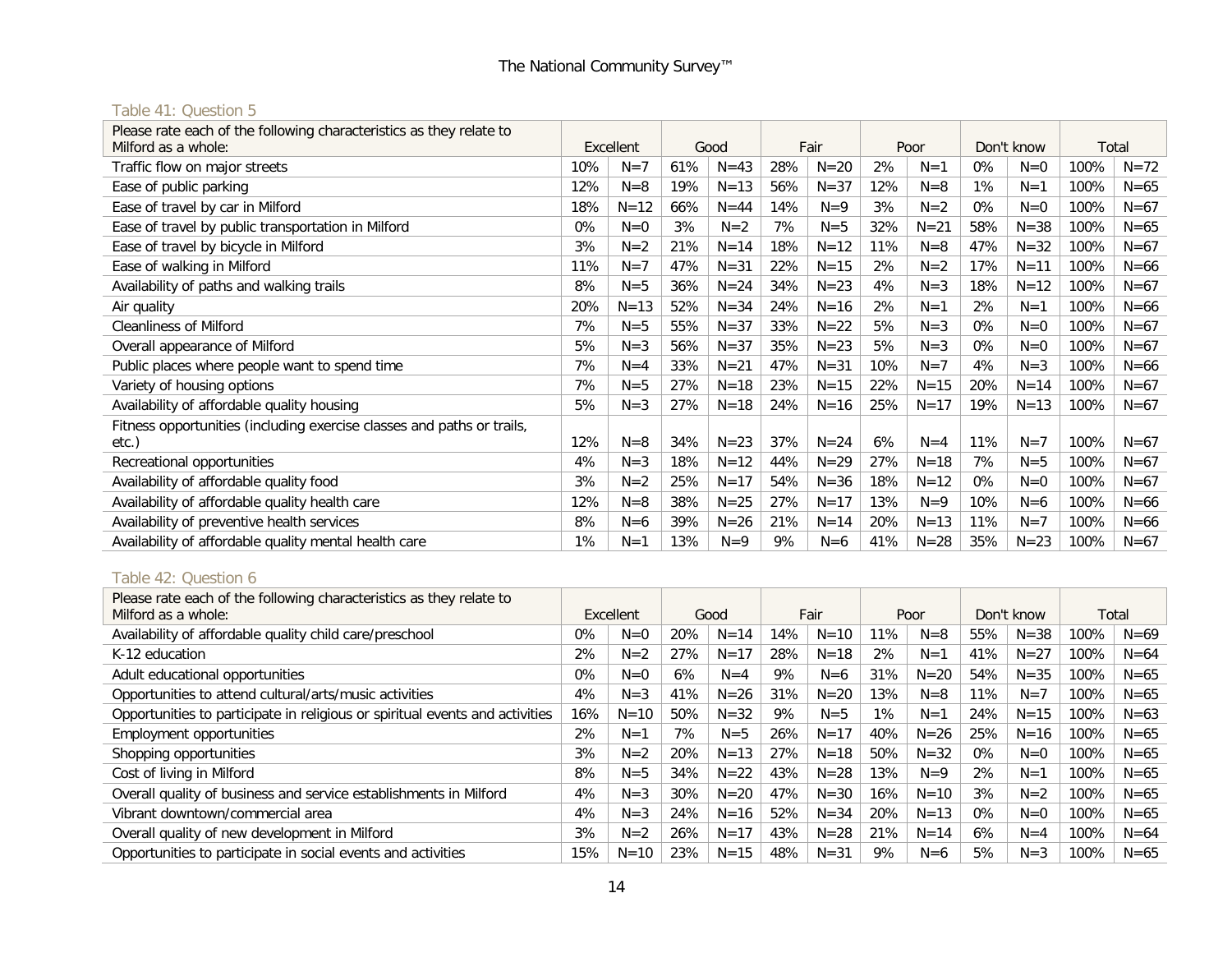# Table 41: Question 5

| Fair<br>Poor<br>Don't know<br>Good<br>Total<br>Excellent<br>28%<br>61%<br>2%<br>100%<br>Traffic flow on major streets<br>10%<br>$N = 43$<br>$N = 20$<br>0%<br>$N = 72$<br>$N=7$<br>$N=1$<br>$N=0$<br>Ease of public parking<br>56%<br>$N = 37$<br>12%<br>100%<br>$N = 65$<br>12%<br>$N=8$<br>19%<br>$N = 13$<br>$N=8$<br>1%<br>$N=1$<br>Ease of travel by car in Milford<br>$N = 12$<br>66%<br>14%<br>3%<br>$N=2$<br>0%<br>$N=0$<br>100%<br>$N = 67$<br>18%<br>$N = 44$<br>$N=9$<br>32%<br>58%<br>Ease of travel by public transportation in Milford<br>0%<br>3%<br>7%<br>$N = 21$<br>$N = 38$<br>100%<br>$N = 65$<br>$N=0$<br>$N=2$<br>$N = 5$<br>Ease of travel by bicycle in Milford<br>3%<br>$N=2$<br>18%<br>11%<br>47%<br>$N = 32$<br>21%<br>$N = 14$<br>$N = 12$<br>$N=8$<br>100%<br>$N = 67$ | Please rate each of the following characteristics as they relate to |     |       |     |          |     |          |    |       |     |          |      |        |
|-----------------------------------------------------------------------------------------------------------------------------------------------------------------------------------------------------------------------------------------------------------------------------------------------------------------------------------------------------------------------------------------------------------------------------------------------------------------------------------------------------------------------------------------------------------------------------------------------------------------------------------------------------------------------------------------------------------------------------------------------------------------------------------------------------|---------------------------------------------------------------------|-----|-------|-----|----------|-----|----------|----|-------|-----|----------|------|--------|
|                                                                                                                                                                                                                                                                                                                                                                                                                                                                                                                                                                                                                                                                                                                                                                                                     | Milford as a whole:                                                 |     |       |     |          |     |          |    |       |     |          |      |        |
|                                                                                                                                                                                                                                                                                                                                                                                                                                                                                                                                                                                                                                                                                                                                                                                                     |                                                                     |     |       |     |          |     |          |    |       |     |          |      |        |
|                                                                                                                                                                                                                                                                                                                                                                                                                                                                                                                                                                                                                                                                                                                                                                                                     |                                                                     |     |       |     |          |     |          |    |       |     |          |      |        |
|                                                                                                                                                                                                                                                                                                                                                                                                                                                                                                                                                                                                                                                                                                                                                                                                     |                                                                     |     |       |     |          |     |          |    |       |     |          |      |        |
|                                                                                                                                                                                                                                                                                                                                                                                                                                                                                                                                                                                                                                                                                                                                                                                                     |                                                                     |     |       |     |          |     |          |    |       |     |          |      |        |
|                                                                                                                                                                                                                                                                                                                                                                                                                                                                                                                                                                                                                                                                                                                                                                                                     |                                                                     |     |       |     |          |     |          |    |       |     |          |      |        |
|                                                                                                                                                                                                                                                                                                                                                                                                                                                                                                                                                                                                                                                                                                                                                                                                     | Ease of walking in Milford                                          | 11% | $N=7$ | 47% | $N = 31$ | 22% | $N = 15$ | 2% | $N=2$ | 17% | $N = 11$ | 100% | $N=66$ |
| 8%<br>36%<br>$N = 24$<br>34%<br>$N = 23$<br>4%<br>18%<br>$N = 12$<br>100%<br>Availability of paths and walking trails<br>$N = 5$<br>$N = 3$<br>$N = 67$                                                                                                                                                                                                                                                                                                                                                                                                                                                                                                                                                                                                                                             |                                                                     |     |       |     |          |     |          |    |       |     |          |      |        |
| 20%<br>52%<br>$N = 34$<br>24%<br>2%<br>2%<br>100%<br>$N = 13$<br>$N = 16$<br>$N=1$<br>$N=1$<br>$N=66$<br>Air quality                                                                                                                                                                                                                                                                                                                                                                                                                                                                                                                                                                                                                                                                                |                                                                     |     |       |     |          |     |          |    |       |     |          |      |        |
| 33%<br><b>Cleanliness of Milford</b><br>7%<br>$N = 5$<br>55%<br>$N = 37$<br>$N = 22$<br>5%<br>0%<br>100%<br>$N = 3$<br>$N=0$<br>$N=67$                                                                                                                                                                                                                                                                                                                                                                                                                                                                                                                                                                                                                                                              |                                                                     |     |       |     |          |     |          |    |       |     |          |      |        |
| 5%<br>$N = 3$<br>56%<br>$N = 37$<br>35%<br>$N = 23$<br>5%<br>$N = 3$<br>0%<br>100%<br>$N=0$<br>$N = 67$<br>Overall appearance of Milford                                                                                                                                                                                                                                                                                                                                                                                                                                                                                                                                                                                                                                                            |                                                                     |     |       |     |          |     |          |    |       |     |          |      |        |
| Public places where people want to spend time<br>7%<br>33%<br>47%<br>10%<br>4%<br>$N = 21$<br>$N = 31$<br>$N=7$<br>$N = 3$<br>100%<br>$N=66$<br>$N = 4$                                                                                                                                                                                                                                                                                                                                                                                                                                                                                                                                                                                                                                             |                                                                     |     |       |     |          |     |          |    |       |     |          |      |        |
| 23%<br>22%<br>20%<br>Variety of housing options<br>7%<br>27%<br>$N = 18$<br>$N = 15$<br>$N = 15$<br>$N = 14$<br>100%<br>$N=67$<br>$N = 5$                                                                                                                                                                                                                                                                                                                                                                                                                                                                                                                                                                                                                                                           |                                                                     |     |       |     |          |     |          |    |       |     |          |      |        |
| 25%<br>$N = 3$<br>27%<br>24%<br>$N = 17$<br>19%<br>$N = 13$<br>Availability of affordable quality housing<br>5%<br>$N = 18$<br>$N = 16$<br>100%<br>$N=67$                                                                                                                                                                                                                                                                                                                                                                                                                                                                                                                                                                                                                                           |                                                                     |     |       |     |          |     |          |    |       |     |          |      |        |
| Fitness opportunities (including exercise classes and paths or trails,                                                                                                                                                                                                                                                                                                                                                                                                                                                                                                                                                                                                                                                                                                                              |                                                                     |     |       |     |          |     |          |    |       |     |          |      |        |
| 11%<br>12%<br>34%<br>$N = 23$<br>37%<br>$N = 24$<br>6%<br>$N = 4$<br>100%<br>$N=8$<br>$N=7$<br>$N = 67$<br>etc.)                                                                                                                                                                                                                                                                                                                                                                                                                                                                                                                                                                                                                                                                                    |                                                                     |     |       |     |          |     |          |    |       |     |          |      |        |
| 18%<br>44%<br>27%<br>7%<br>4%<br>$N = 3$<br>$N = 12$<br>$N = 29$<br>$N = 18$<br>$N = 5$<br>100%<br>$N=67$<br>Recreational opportunities                                                                                                                                                                                                                                                                                                                                                                                                                                                                                                                                                                                                                                                             |                                                                     |     |       |     |          |     |          |    |       |     |          |      |        |
| 3%<br>54%<br>18%<br>$N=2$<br>25%<br>$N = 17$<br>$N = 36$<br>$N = 12$<br>0%<br>100%<br>Availability of affordable quality food<br>$N=0$<br>$N=67$                                                                                                                                                                                                                                                                                                                                                                                                                                                                                                                                                                                                                                                    |                                                                     |     |       |     |          |     |          |    |       |     |          |      |        |
| 27%<br>Availability of affordable quality health care<br>12%<br>$N=8$<br>38%<br>$N = 25$<br>$N = 17$<br>13%<br>10%<br>$N=66$<br>$N=9$<br>$N=6$<br>100%                                                                                                                                                                                                                                                                                                                                                                                                                                                                                                                                                                                                                                              |                                                                     |     |       |     |          |     |          |    |       |     |          |      |        |
| 11%<br>39%<br>21%<br>20%<br>100%<br>8%<br>$N = 26$<br>$N = 13$<br>$N=7$<br>$N=66$<br>Availability of preventive health services<br>$N=6$<br>$N = 14$                                                                                                                                                                                                                                                                                                                                                                                                                                                                                                                                                                                                                                                |                                                                     |     |       |     |          |     |          |    |       |     |          |      |        |
| 35%<br>1%<br>13%<br>$N=9$<br>9%<br>41%<br>$N = 28$<br>$N = 23$<br>100%<br>Availability of affordable quality mental health care<br>$N=67$<br>$N=1$<br>$N=6$                                                                                                                                                                                                                                                                                                                                                                                                                                                                                                                                                                                                                                         |                                                                     |     |       |     |          |     |          |    |       |     |          |      |        |

# Table 42: Question 6

| Please rate each of the following characteristics as they relate to<br>Milford as a whole: |       | <b>Excellent</b> |     | Good     |     | Fair     |       | Poor     |       | Don't know | Total |          |
|--------------------------------------------------------------------------------------------|-------|------------------|-----|----------|-----|----------|-------|----------|-------|------------|-------|----------|
| Availability of affordable quality child care/preschool                                    | 0%    | $N=0$            | 20% | $N = 14$ | 14% | $N = 10$ | 11%   | $N=8$    | 55%   | $N = 38$   | 100%  | $N = 69$ |
| K-12 education                                                                             | 2%    | $N=2$            | 27% | $N = 17$ | 28% | $N = 18$ | 2%    | $N=1$    | 41%   | $N = 27$   | 100%  | $N = 64$ |
| Adult educational opportunities                                                            | $0\%$ | $N=0$            | 6%  | $N = 4$  | 9%  | $N=6$    | 31%   | $N = 20$ | 54%   | $N = 35$   | 100%  | $N = 65$ |
| Opportunities to attend cultural/arts/music activities                                     | 4%    | $N=3$            | 41% | $N = 26$ | 31% | $N = 20$ | 13%   | $N=8$    | 11%   | $N=7$      | 100%  | $N = 65$ |
| Opportunities to participate in religious or spiritual events and activities               | 16%   | $N = 10$         | 50% | $N = 32$ | 9%  | $N = 5$  | $1\%$ | $N=1$    | 24%   | $N = 15$   | 100%  | $N = 63$ |
| <b>Employment opportunities</b>                                                            | 2%    | $N=1$            | 7%  | $N = 5$  | 26% | $N = 17$ | 40%   | $N = 26$ | 25%   | $N = 16$   | 100%  | $N = 65$ |
| Shopping opportunities                                                                     | 3%    | $N=2$            | 20% | $N = 13$ | 27% | $N = 18$ | 50%   | $N = 32$ | 0%    | $N=0$      | 100%  | $N = 65$ |
| Cost of living in Milford                                                                  | 8%    | $N = 5$          | 34% | $N = 22$ | 43% | $N = 28$ | 13%   | $N=9$    | 2%    | $N=1$      | 100%  | $N = 65$ |
| Overall quality of business and service establishments in Milford                          | 4%    | $N = 3$          | 30% | $N = 20$ | 47% | $N = 30$ | 16%   | $N = 10$ | 3%    | $N=2$      | 100%  | $N = 65$ |
| Vibrant downtown/commercial area                                                           | 4%    | $N = 3$          | 24% | $N = 16$ | 52% | $N = 34$ | 20%   | $N = 13$ | $0\%$ | $N=0$      | 100%  | $N = 65$ |
| Overall quality of new development in Milford                                              | 3%    | $N=2$            | 26% | $N = 17$ | 43% | $N = 28$ | 21%   | $N = 14$ | 6%    | $N = 4$    | 100%  | $N = 64$ |
| Opportunities to participate in social events and activities                               | 15%   | $N = 10$         | 23% | $N = 15$ | 48% | $N = 31$ | 9%    | $N=6$    | 5%    | $N = 3$    | 100%  | $N = 65$ |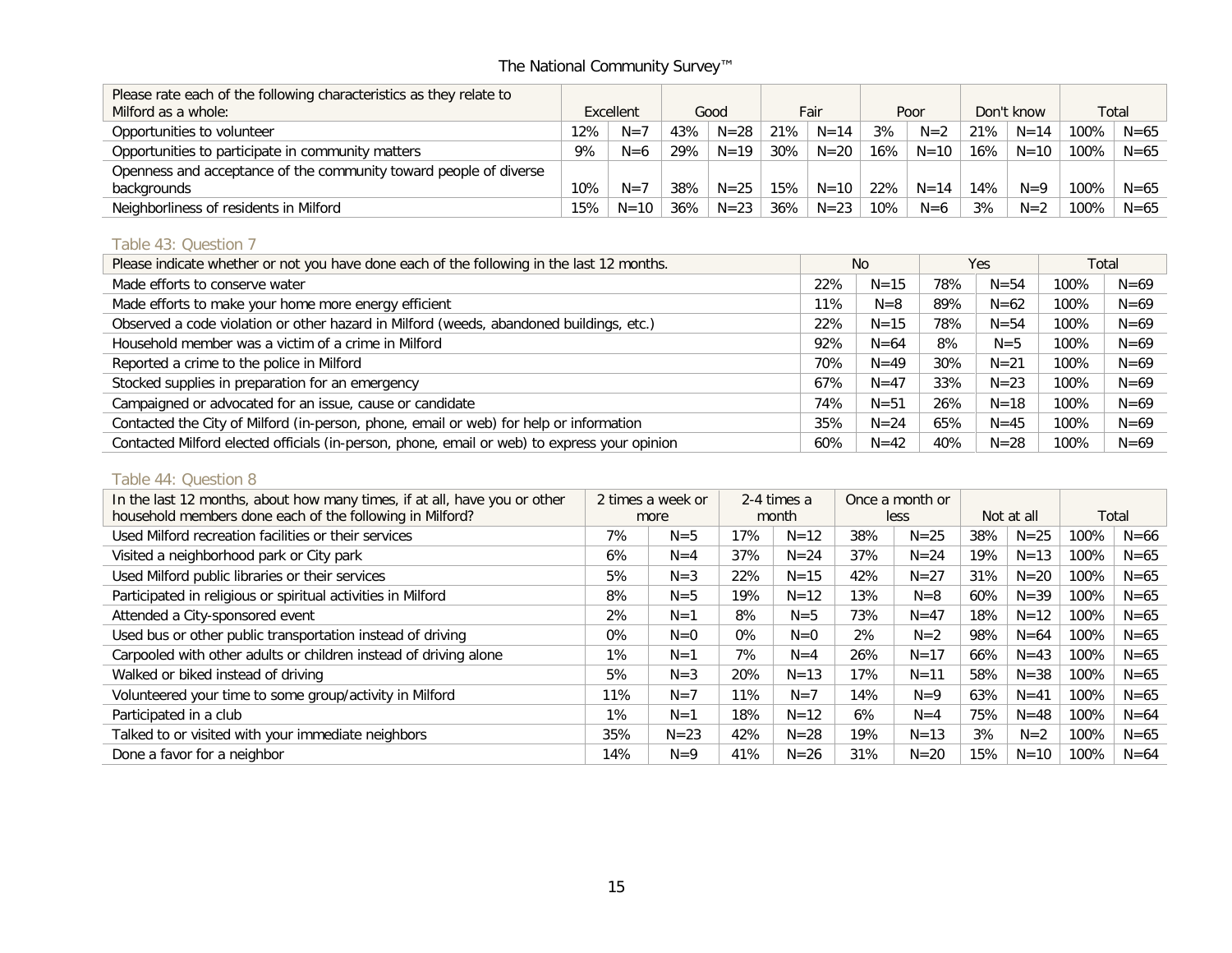| Please rate each of the following characteristics as they relate to |     |           |     |          |        |          |     |          |            |          |       |          |
|---------------------------------------------------------------------|-----|-----------|-----|----------|--------|----------|-----|----------|------------|----------|-------|----------|
| Milford as a whole:                                                 |     | Excellent |     | Good     |        | Fair     |     | Poor     | Don't know |          | Total |          |
| Opportunities to volunteer                                          | 12% | $N = 7$   | 43% | $N = 28$ | 21%    | $N = 14$ | 3%  | $N=2$    | 21%        | $N = 14$ | 100%  | $N = 65$ |
| Opportunities to participate in community matters                   | 9%  | $N=6$     | 29% | $N = 19$ | 30%    | $N = 20$ | 16% | $N=10$   | 16%        | $N = 10$ | 100%  | $N = 65$ |
| Openness and acceptance of the community toward people of diverse   |     |           |     |          |        |          |     |          |            |          |       |          |
| backgrounds                                                         | 10% | $N=7$     | 38% | $N = 25$ | 15%    | $N = 10$ | 22% | $N = 14$ | 14%        | $N=9$    | 100%  | $N = 65$ |
| Neighborliness of residents in Milford                              | 15% | $N = 10$  | 36% | $N = 23$ | $36\%$ | $N = 23$ | 10% | $N=6$    | 3%         | $N=2$    | 100%  | $N = 65$ |

# Table 43: Question 7

| Please indicate whether or not you have done each of the following in the last 12 months.    |     | No.      |     | Yes      |      | Total    |
|----------------------------------------------------------------------------------------------|-----|----------|-----|----------|------|----------|
| Made efforts to conserve water                                                               | 22% | $N = 15$ | 78% | $N = 54$ | 100% | $N = 69$ |
| Made efforts to make your home more energy efficient                                         | 11% | $N=8$    | 89% | $N = 62$ | 100% | $N = 69$ |
| Observed a code violation or other hazard in Milford (weeds, abandoned buildings, etc.)      | 22% | $N = 15$ | 78% | $N = 54$ | 100% | $N = 69$ |
| Household member was a victim of a crime in Milford                                          | 92% | $N = 64$ | 8%  | $N = 5$  | 100% | $N = 69$ |
| Reported a crime to the police in Milford                                                    | 70% | $N = 49$ | 30% | $N = 21$ | 100% | $N = 69$ |
| Stocked supplies in preparation for an emergency                                             | 67% | $N = 47$ | 33% | $N = 23$ | 100% | $N = 69$ |
| Campaigned or advocated for an issue, cause or candidate                                     | 74% | $N = 51$ | 26% | $N = 18$ | 100% | $N = 69$ |
| Contacted the City of Milford (in-person, phone, email or web) for help or information       | 35% | $N = 24$ | 65% | $N = 45$ | 100% | $N = 69$ |
| Contacted Milford elected officials (in-person, phone, email or web) to express your opinion | 60% | $N = 42$ | 40% | $N = 28$ | 100% | $N = 69$ |

#### Table 44: Question 8

| In the last 12 months, about how many times, if at all, have you or other | 2 times a week or |          |       | 2-4 times a |     | Once a month or |     |            |       |          |
|---------------------------------------------------------------------------|-------------------|----------|-------|-------------|-----|-----------------|-----|------------|-------|----------|
| household members done each of the following in Milford?                  |                   | more     |       | month       |     | less            |     | Not at all | Total |          |
| Used Milford recreation facilities or their services                      | 7%                | $N = 5$  | 17%   | $N = 12$    | 38% | $N = 25$        | 38% | $N = 25$   | 100%  | $N = 66$ |
| Visited a neighborhood park or City park                                  | 6%                | $N = 4$  | 37%   | $N = 24$    | 37% | $N = 24$        | 19% | $N = 13$   | 100%  | $N = 65$ |
| Used Milford public libraries or their services                           | 5%                | $N = 3$  | 22%   | $N = 15$    | 42% | $N = 27$        | 31% | $N = 20$   | 100%  | $N = 65$ |
| Participated in religious or spiritual activities in Milford              | 8%                | $N = 5$  | 19%   | $N = 12$    | 13% | $N = 8$         | 60% | $N = 39$   | 100%  | $N = 65$ |
| Attended a City-sponsored event                                           | 2%                | $N=1$    | 8%    | $N = 5$     | 73% | $N = 47$        | 18% | $N = 12$   | 100%  | $N = 65$ |
| Used bus or other public transportation instead of driving                | $0\%$             | $N=0$    | $0\%$ | $N=0$       | 2%  | $N=2$           | 98% | $N = 64$   | 100%  | $N = 65$ |
| Carpooled with other adults or children instead of driving alone          | $1\%$             | $N=1$    | 7%    | $N = 4$     | 26% | $N = 17$        | 66% | $N = 43$   | 100%  | $N = 65$ |
| Walked or biked instead of driving                                        | 5%                | $N = 3$  | 20%   | $N = 13$    | 17% | $N = 11$        | 58% | $N = 38$   | 100%  | $N = 65$ |
| Volunteered your time to some group/activity in Milford                   | 11%               | $N=7$    | 11%   | $N=7$       | 14% | $N=9$           | 63% | $N = 41$   | 100%  | $N = 65$ |
| Participated in a club                                                    | $1\%$             | $N=1$    | 18%   | $N = 12$    | 6%  | $N = 4$         | 75% | $N = 48$   | 100%  | $N = 64$ |
| Talked to or visited with your immediate neighbors                        | 35%               | $N = 23$ | 42%   | $N = 28$    | 19% | $N = 13$        | 3%  | $N=2$      | 100%  | $N = 65$ |
| Done a favor for a neighbor                                               | 14%               | $N=9$    | 41%   | $N = 26$    | 31% | $N = 20$        | 15% | $N = 10$   | 100%  | $N = 64$ |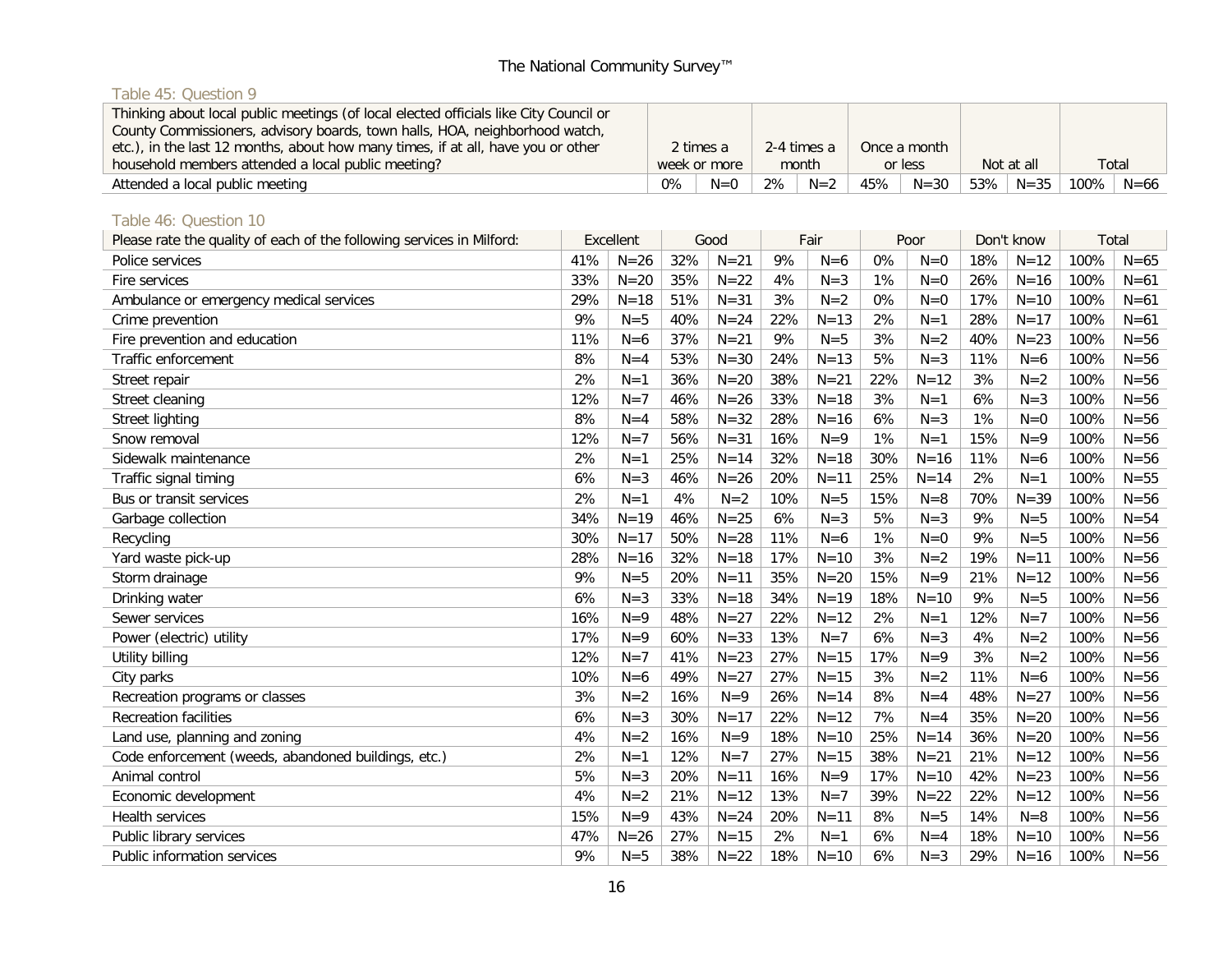# Table 45: Question 9

| Thinking about local public meetings (of local elected officials like City Council or<br>County Commissioners, advisory boards, town halls, HOA, neighborhood watch, |    |              |    |             |     |              |               |        |          |
|----------------------------------------------------------------------------------------------------------------------------------------------------------------------|----|--------------|----|-------------|-----|--------------|---------------|--------|----------|
| etc.), in the last 12 months, about how many times, if at all, have you or other                                                                                     |    | 2 times a    |    | 2-4 times a |     | Once a month |               |        |          |
| household members attended a local public meeting?                                                                                                                   |    | week or more |    | month       |     | or less      | Not at all    | Total  |          |
| Attended a local public meeting                                                                                                                                      | 0% | $N=0$        | 2% | $N=2$       | 45% | $N = 30$     | $53\%$   N=35 | 100% l | $N = 66$ |

# Table 46: Question 10

| Please rate the quality of each of the following services in Milford: |     | Excellent |     | Good     |     | Fair     |     | Poor     |     | Don't know | Total |          |
|-----------------------------------------------------------------------|-----|-----------|-----|----------|-----|----------|-----|----------|-----|------------|-------|----------|
| Police services                                                       | 41% | $N = 26$  | 32% | $N = 21$ | 9%  | $N=6$    | 0%  | $N=0$    | 18% | $N = 12$   | 100%  | $N = 65$ |
| Fire services                                                         | 33% | $N = 20$  | 35% | $N = 22$ | 4%  | $N = 3$  | 1%  | $N=0$    | 26% | $N = 16$   | 100%  | $N=61$   |
| Ambulance or emergency medical services                               | 29% | $N = 18$  | 51% | $N = 31$ | 3%  | $N=2$    | 0%  | $N=0$    | 17% | $N = 10$   | 100%  | $N=61$   |
| Crime prevention                                                      | 9%  | $N=5$     | 40% | $N = 24$ | 22% | $N=13$   | 2%  | $N=1$    | 28% | $N=17$     | 100%  | $N=61$   |
| Fire prevention and education                                         | 11% | $N=6$     | 37% | $N = 21$ | 9%  | $N=5$    | 3%  | $N=2$    | 40% | $N = 23$   | 100%  | $N = 56$ |
| Traffic enforcement                                                   | 8%  | $N = 4$   | 53% | $N = 30$ | 24% | $N=13$   | 5%  | $N=3$    | 11% | $N=6$      | 100%  | $N = 56$ |
| Street repair                                                         | 2%  | $N=1$     | 36% | $N = 20$ | 38% | $N = 21$ | 22% | $N = 12$ | 3%  | $N=2$      | 100%  | $N = 56$ |
| Street cleaning                                                       | 12% | $N=7$     | 46% | $N = 26$ | 33% | $N = 18$ | 3%  | $N=1$    | 6%  | $N = 3$    | 100%  | $N = 56$ |
| Street lighting                                                       | 8%  | $N = 4$   | 58% | $N = 32$ | 28% | $N=16$   | 6%  | $N=3$    | 1%  | $N=0$      | 100%  | $N = 56$ |
| Snow removal                                                          | 12% | $N=7$     | 56% | $N = 31$ | 16% | $N=9$    | 1%  | $N=1$    | 15% | $N=9$      | 100%  | $N = 56$ |
| Sidewalk maintenance                                                  | 2%  | $N=1$     | 25% | $N = 14$ | 32% | $N = 18$ | 30% | $N = 16$ | 11% | $N=6$      | 100%  | $N = 56$ |
| Traffic signal timing                                                 | 6%  | $N = 3$   | 46% | $N = 26$ | 20% | $N = 11$ | 25% | $N = 14$ | 2%  | $N=1$      | 100%  | $N = 55$ |
| Bus or transit services                                               | 2%  | $N=1$     | 4%  | $N=2$    | 10% | $N = 5$  | 15% | $N=8$    | 70% | $N = 39$   | 100%  | $N = 56$ |
| Garbage collection                                                    | 34% | $N = 19$  | 46% | $N = 25$ | 6%  | $N = 3$  | 5%  | $N = 3$  | 9%  | $N=5$      | 100%  | $N = 54$ |
| Recycling                                                             | 30% | $N = 17$  | 50% | $N = 28$ | 11% | $N=6$    | 1%  | $N=0$    | 9%  | $N=5$      | 100%  | $N = 56$ |
| Yard waste pick-up                                                    | 28% | $N = 16$  | 32% | $N = 18$ | 17% | $N=10$   | 3%  | $N=2$    | 19% | $N = 11$   | 100%  | $N = 56$ |
| Storm drainage                                                        | 9%  | $N=5$     | 20% | $N = 11$ | 35% | $N = 20$ | 15% | $N=9$    | 21% | $N = 12$   | 100%  | $N = 56$ |
| Drinking water                                                        | 6%  | $N = 3$   | 33% | $N = 18$ | 34% | $N = 19$ | 18% | $N = 10$ | 9%  | $N = 5$    | 100%  | $N = 56$ |
| Sewer services                                                        | 16% | $N=9$     | 48% | $N=27$   | 22% | $N = 12$ | 2%  | $N=1$    | 12% | $N=7$      | 100%  | $N = 56$ |
| Power (electric) utility                                              | 17% | $N=9$     | 60% | $N = 33$ | 13% | $N=7$    | 6%  | $N=3$    | 4%  | $N=2$      | 100%  | $N = 56$ |
| Utility billing                                                       | 12% | $N=7$     | 41% | $N = 23$ | 27% | $N = 15$ | 17% | $N=9$    | 3%  | $N=2$      | 100%  | $N = 56$ |
| City parks                                                            | 10% | $N=6$     | 49% | $N=27$   | 27% | $N = 15$ | 3%  | $N=2$    | 11% | $N=6$      | 100%  | $N = 56$ |
| Recreation programs or classes                                        | 3%  | $N=2$     | 16% | $N=9$    | 26% | $N = 14$ | 8%  | $N=4$    | 48% | $N = 27$   | 100%  | $N = 56$ |
| <b>Recreation facilities</b>                                          | 6%  | $N = 3$   | 30% | $N=17$   | 22% | $N=12$   | 7%  | $N=4$    | 35% | $N = 20$   | 100%  | $N = 56$ |
| Land use, planning and zoning                                         | 4%  | $N=2$     | 16% | $N=9$    | 18% | $N = 10$ | 25% | $N = 14$ | 36% | $N = 20$   | 100%  | $N = 56$ |
| Code enforcement (weeds, abandoned buildings, etc.)                   | 2%  | $N=1$     | 12% | $N=7$    | 27% | $N = 15$ | 38% | $N = 21$ | 21% | $N = 12$   | 100%  | $N = 56$ |
| Animal control                                                        | 5%  | $N = 3$   | 20% | $N = 11$ | 16% | $N=9$    | 17% | $N = 10$ | 42% | $N = 23$   | 100%  | $N = 56$ |
| Economic development                                                  | 4%  | $N=2$     | 21% | $N = 12$ | 13% | $N=7$    | 39% | $N = 22$ | 22% | $N = 12$   | 100%  | $N = 56$ |
| Health services                                                       | 15% | $N=9$     | 43% | $N = 24$ | 20% | $N = 11$ | 8%  | $N = 5$  | 14% | $N=8$      | 100%  | $N = 56$ |
| Public library services                                               | 47% | $N = 26$  | 27% | $N = 15$ | 2%  | $N=1$    | 6%  | $N=4$    | 18% | $N = 10$   | 100%  | $N = 56$ |
| Public information services                                           | 9%  | $N=5$     | 38% | $N = 22$ | 18% | $N = 10$ | 6%  | $N=3$    | 29% | $N = 16$   | 100%  | $N = 56$ |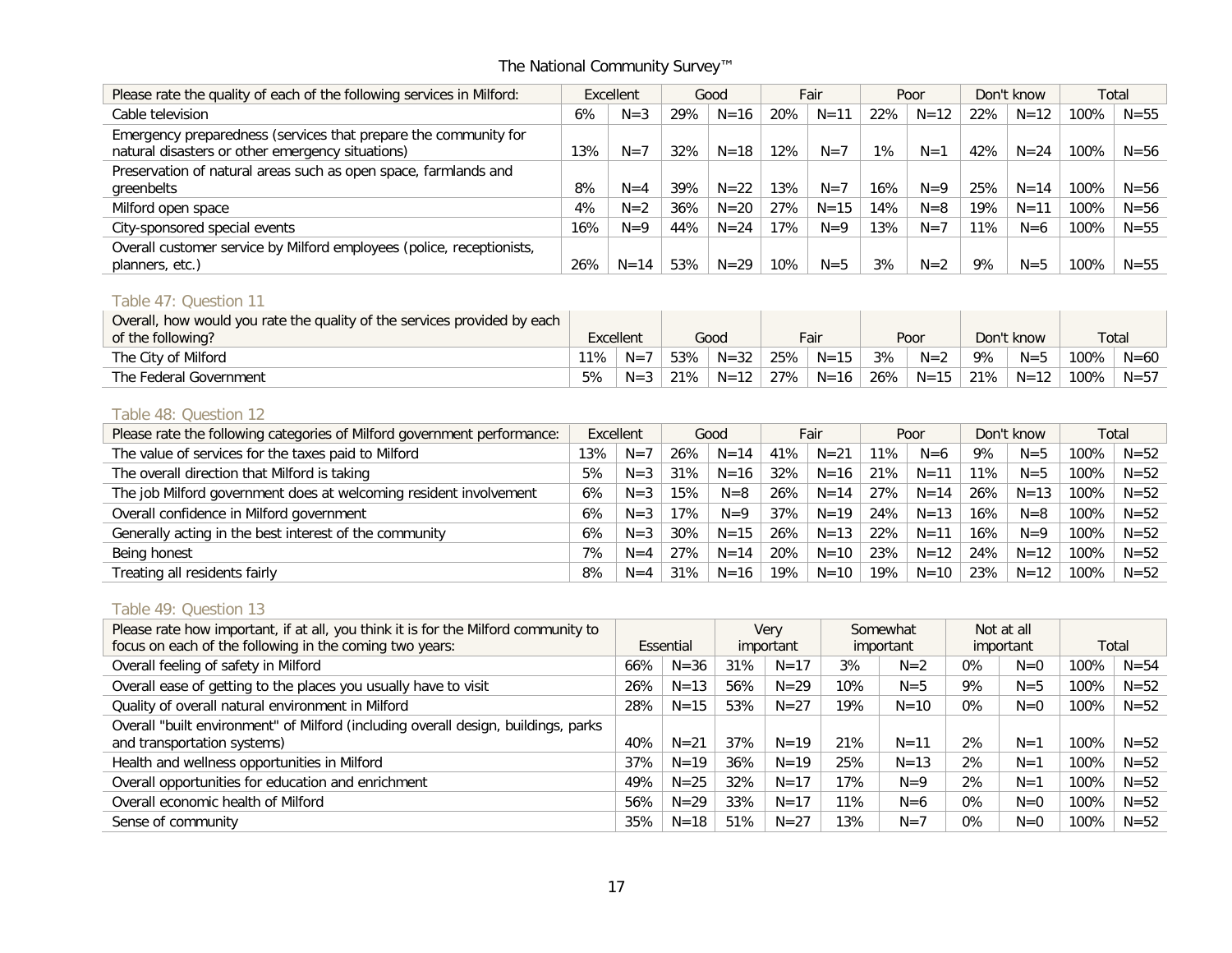| Please rate the quality of each of the following services in Milford:                                               |     | Excellent | Good |          | Fair |          |     |          | Poor |          | Don't know |          |  | Total |
|---------------------------------------------------------------------------------------------------------------------|-----|-----------|------|----------|------|----------|-----|----------|------|----------|------------|----------|--|-------|
| Cable television                                                                                                    | 6%  | $N = 3$   | 29%  | $N = 16$ | 20%  | $N = 11$ | 22% | $N = 12$ | 22%  | $N = 12$ | 100%       | $N = 55$ |  |       |
| Emergency preparedness (services that prepare the community for<br>natural disasters or other emergency situations) | 13% | $N=7$     | 32%  | $N = 18$ | 12%  | $N=7$    | 1%  | $N=1$    | 42%  | $N = 24$ | 100%       | $N = 56$ |  |       |
| Preservation of natural areas such as open space, farmlands and<br>greenbelts                                       | 8%  | $N = 4$   | 39%  | $N = 22$ | 13%  | $N=7$    | 16% | $N=9$    | 25%  | $N = 14$ | 100%       | $N = 56$ |  |       |
| Milford open space                                                                                                  | 4%  | $N=2$     | 36%  | $N = 20$ | 27%  | $N = 15$ | 14% | $N = 8$  | 19%  | $N = 11$ | 100%       | $N = 56$ |  |       |
| City-sponsored special events                                                                                       | 16% | $N=9$     | 44%  | $N = 24$ | 17%  | $N=9$    | 13% | $N=7$    | 11%  | $N=6$    | 100%       | $N = 55$ |  |       |
| Overall customer service by Milford employees (police, receptionists,<br>planners, etc.)                            | 26% | $N = 14$  | 53%  | $N = 29$ | 10%  | $N = 5$  | 3%  | $N=2$    | 9%   | $N = 5$  | 100%       | $N = 55$ |  |       |

## Table 47: Question 11

| Overall, how would you rate the quality of the services provided by each<br>of the following? | Excellent |         |     | Good     | Fair |          | Poor |          | Don't know |          | Total |          |
|-----------------------------------------------------------------------------------------------|-----------|---------|-----|----------|------|----------|------|----------|------------|----------|-------|----------|
| The City of Milford                                                                           | 11%       | $N =$   | 53% | $N = 32$ | 25%  | $N = 15$ | 3%   | $N=2$    | 9%         | $N = 5$  | 100%  | $N = 60$ |
| The Federal Government                                                                        | 5%        | $N = 3$ | 21% | $N = 12$ | 27%  | $N = 16$ | 26%  | $N = 15$ | 21%        | $N = 12$ | 100%  | $N = 57$ |

#### Table 48: Question 12

| Please rate the following categories of Milford government performance: | Excellent |         | Good |          | Fair |          | Poor |          |     | Don't know | Total |          |
|-------------------------------------------------------------------------|-----------|---------|------|----------|------|----------|------|----------|-----|------------|-------|----------|
| The value of services for the taxes paid to Milford                     | 13%       | $N=7$   | 26%  | $N = 14$ | 41%  | $N = 21$ | 11%  | $N=6$    | 9%  | $N = 5$    | 100%  | $N = 52$ |
| The overall direction that Milford is taking                            | 5%        | $N = 3$ | 31%  | $N = 16$ | 32%  | $N = 16$ | 21%  | $N = 11$ | 11% | $N = 5$    | 100%  | $N = 52$ |
| The job Milford government does at welcoming resident involvement       | 6%        | $N = 3$ | 15%  | $N = 8$  | 26%  | $N = 14$ | 27%  | $N = 14$ | 26% | $N = 13$   | 100%  | $N = 52$ |
| Overall confidence in Milford government                                | 6%        | $N = 3$ | 17%  | $N=9$    | 37%  | $N = 19$ | 24%  | $N = 13$ | 16% | $N = 8$    | 100%  | $N = 52$ |
| Generally acting in the best interest of the community                  | 6%        | $N = 3$ | 30%  | $N = 15$ | 26%  | $N = 13$ | 22%  | $N = 11$ | 16% | $N=9$      | 100%  | $N = 52$ |
| Being honest                                                            | 7%        | $N = 4$ | 27%  | $N = 14$ | 20%  | $N = 10$ | 23%  | $N = 12$ | 24% | $N = 12$   | 100%  | $N = 52$ |
| Treating all residents fairly                                           | 8%        | $N = 4$ | 31%  | $N = 16$ | 19%  | $N = 10$ | 19%  | $N = 10$ | 23% | $N = 12$   | 100%  | $N = 52$ |

# Table 49: Question 13

| Please rate how important, if at all, you think it is for the Milford community to |     |           | <b>Verv</b> |           | Somewhat |           |       | Not at all |      |          |
|------------------------------------------------------------------------------------|-----|-----------|-------------|-----------|----------|-----------|-------|------------|------|----------|
| focus on each of the following in the coming two years:                            |     | Essential |             | important |          | important |       | important  |      | Total    |
| Overall feeling of safety in Milford                                               | 66% | $N = 36$  | 31%         | $N = 17$  | 3%       | $N=2$     | $0\%$ | $N=0$      | 100% | $N = 54$ |
| Overall ease of getting to the places you usually have to visit                    | 26% | $N = 13$  | 56%         | $N = 29$  | 10%      | $N = 5$   | 9%    | $N = 5$    | 100% | $N = 52$ |
| Quality of overall natural environment in Milford                                  | 28% | $N = 15$  | 53%         | $N = 27$  | 19%      | $N = 10$  | $0\%$ | $N=0$      | 100% | $N = 52$ |
| Overall "built environment" of Milford (including overall design, buildings, parks |     |           |             |           |          |           |       |            |      |          |
| and transportation systems)                                                        | 40% | $N = 21$  | 37%         | $N = 19$  | 21%      | $N = 11$  | 2%    | N=1        | 100% | $N = 52$ |
| Health and wellness opportunities in Milford                                       | 37% | $N = 19$  | 36%         | $N = 19$  | 25%      | $N = 13$  | 2%    | N=1        | 100% | $N = 52$ |
| Overall opportunities for education and enrichment                                 | 49% | $N = 25$  | 32%         | $N = 17$  | 17%      | $N=9$     | 2%    | $N = 1$    | 100% | $N = 52$ |
| Overall economic health of Milford                                                 | 56% | $N = 29$  | 33%         | $N = 17$  | 11%      | $N=6$     | $0\%$ | $N=0$      | 100% | $N = 52$ |
| Sense of community                                                                 | 35% | $N = 18$  | 51%         | $N = 27$  | 13%      | $N=7$     | $0\%$ | $N=0$      | 100% | $N = 52$ |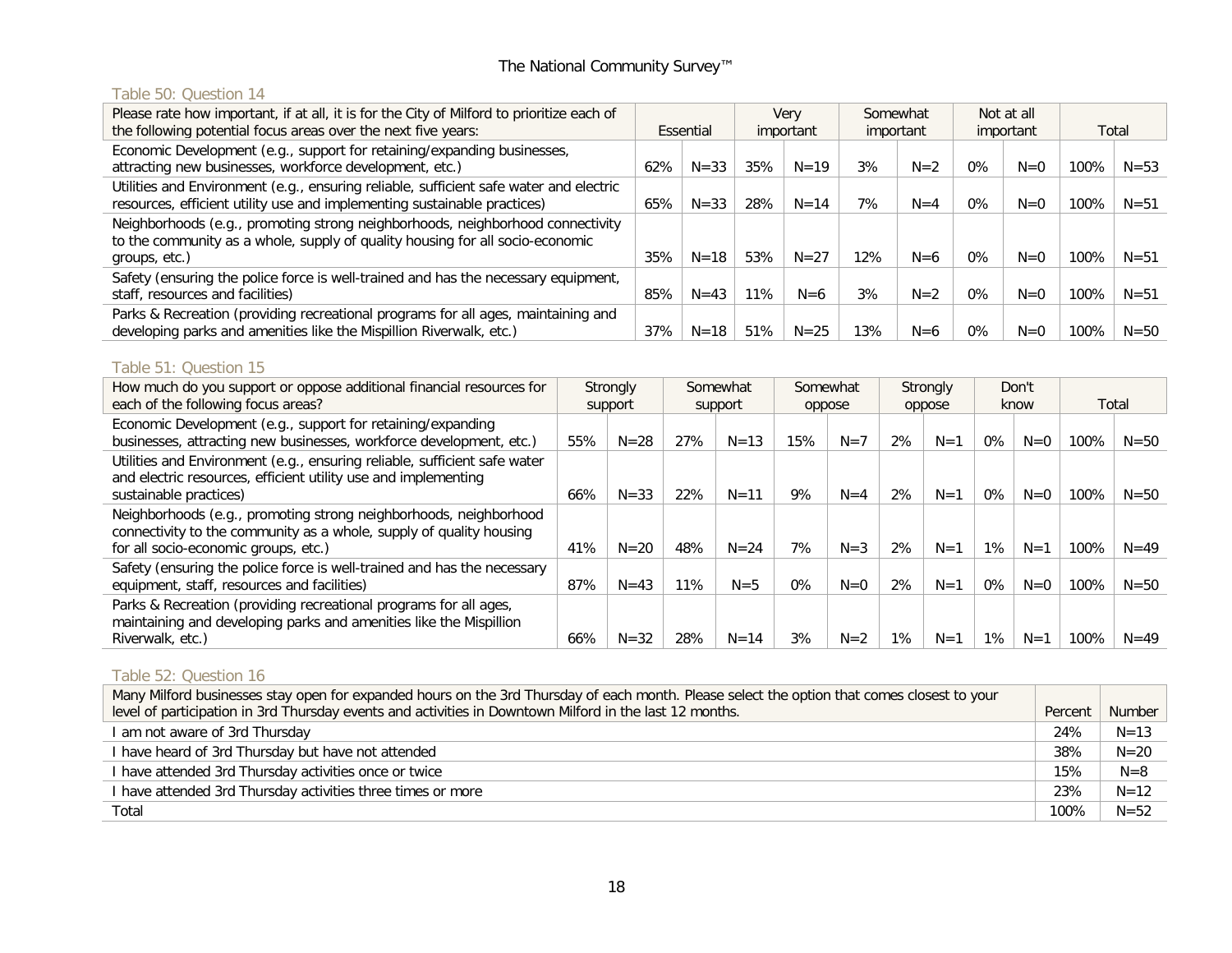## Table 50: Question 14

| Please rate how important, if at all, it is for the City of Milford to prioritize each of<br>the following potential focus areas over the next five years:                       |     | Essential |     | Verv<br>important |     | Somewhat<br>important |       | Not at all<br>important |      | Total    |
|----------------------------------------------------------------------------------------------------------------------------------------------------------------------------------|-----|-----------|-----|-------------------|-----|-----------------------|-------|-------------------------|------|----------|
| Economic Development (e.g., support for retaining/expanding businesses,<br>attracting new businesses, workforce development, etc.)                                               | 62% | $N = 33$  | 35% | $N = 19$          | 3%  | $N=2$                 | 0%    | $N=0$                   | 100% | $N = 53$ |
| Utilities and Environment (e.g., ensuring reliable, sufficient safe water and electric<br>resources, efficient utility use and implementing sustainable practices)               | 65% | $N = 33$  | 28% | $N = 14$          | 7%  | $N = 4$               | $0\%$ | $N=0$                   | 100% | $N = 51$ |
| Neighborhoods (e.g., promoting strong neighborhoods, neighborhood connectivity<br>to the community as a whole, supply of quality housing for all socio-economic<br>groups, etc.) | 35% | $N = 18$  | 53% | $N = 27$          | 12% | $N=6$                 | $0\%$ | $N=0$                   | 100% | $N = 51$ |
| Safety (ensuring the police force is well-trained and has the necessary equipment,<br>staff, resources and facilities)                                                           | 85% | $N = 43$  | 11% | $N=6$             | 3%  | $N=2$                 | $0\%$ | $N=0$                   | 100% | $N = 51$ |
| Parks & Recreation (providing recreational programs for all ages, maintaining and<br>developing parks and amenities like the Mispillion Riverwalk, etc.)                         | 37% | $N = 18$  | 51% | $N = 25$          | 13% | $N=6$                 | $0\%$ | $N=0$                   | 100% | $N = 50$ |

# Table 51: Question 15

| How much do you support or oppose additional financial resources for<br>each of the following focus areas?                                                                       |     | Strongly<br>support |     | Somewhat<br>support |       | Somewhat<br>oppose | Strongly<br>oppose |       | Don't<br>know |       | Total |          |
|----------------------------------------------------------------------------------------------------------------------------------------------------------------------------------|-----|---------------------|-----|---------------------|-------|--------------------|--------------------|-------|---------------|-------|-------|----------|
| Economic Development (e.g., support for retaining/expanding<br>businesses, attracting new businesses, workforce development, etc.)                                               | 55% | $N = 28$            | 27% | $N = 13$            | 15%   | $N=7$              | 2%                 | $N=1$ | 0%            | $N=0$ | 100%  | $N = 50$ |
| Utilities and Environment (e.g., ensuring reliable, sufficient safe water<br>and electric resources, efficient utility use and implementing<br>sustainable practices)            | 66% | $N = 33$            | 22% | $N = 11$            | 9%    | $N = 4$            | 2%                 | $N=1$ | 0%            | $N=0$ | 100%  | $N = 50$ |
| Neighborhoods (e.g., promoting strong neighborhoods, neighborhood<br>connectivity to the community as a whole, supply of quality housing<br>for all socio-economic groups, etc.) | 41% | $N = 20$            | 48% | $N = 24$            | 7%    | $N = 3$            | 2%                 | $N=1$ | $1\%$         | $N=1$ | 100%  | $N = 49$ |
| Safety (ensuring the police force is well-trained and has the necessary<br>equipment, staff, resources and facilities)                                                           | 87% | $N = 43$            | 11% | $N = 5$             | $0\%$ | $N=0$              | 2%                 | $N=1$ | 0%            | $N=0$ | 100%  | $N = 50$ |
| Parks & Recreation (providing recreational programs for all ages,<br>maintaining and developing parks and amenities like the Mispillion<br>Riverwalk, etc.)                      | 66% | $N = 32$            | 28% | $N = 14$            | 3%    | $N=2$              | 1%                 | $N=1$ | 1%            | $N=1$ | 100%  | $N = 49$ |

## Table 52: Question 16

| Many Milford businesses stay open for expanded hours on the 3rd Thursday of each month. Please select the option that comes closest to your |         |          |
|---------------------------------------------------------------------------------------------------------------------------------------------|---------|----------|
| level of participation in 3rd Thursday events and activities in Downtown Milford in the last 12 months.                                     | Percent | Number   |
| I am not aware of 3rd Thursday                                                                                                              | 24%     | $N = 13$ |
| I have heard of 3rd Thursday but have not attended                                                                                          | 38%     | $N = 20$ |
| I have attended 3rd Thursday activities once or twice                                                                                       | 15%     | $N = 8$  |
| I have attended 3rd Thursday activities three times or more                                                                                 | 23%     | $N = 12$ |
| Total                                                                                                                                       | 100%    | $N = 52$ |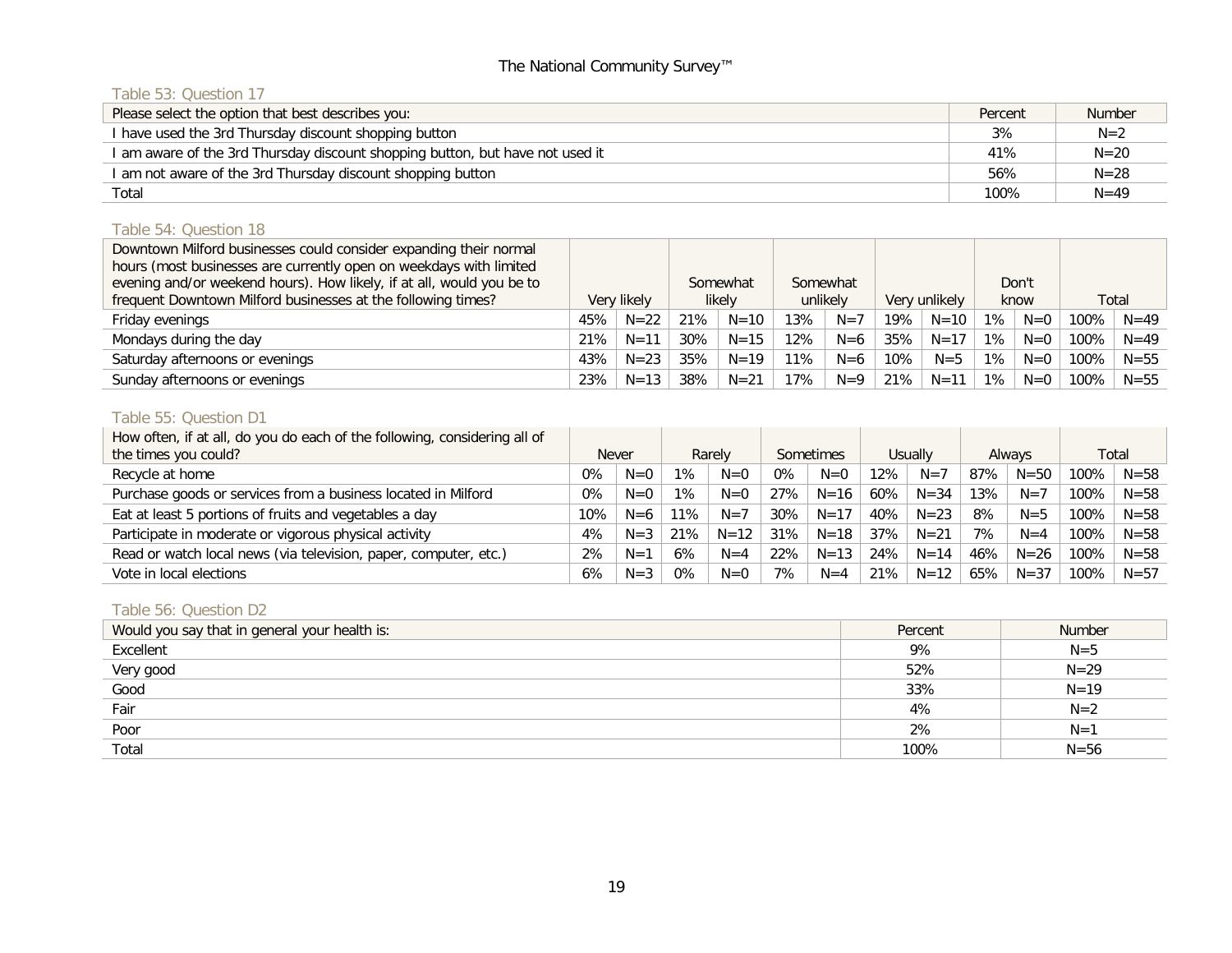# Table 53: Question 17

| Please select the option that best describes you:                             | Percent | Number   |
|-------------------------------------------------------------------------------|---------|----------|
| I have used the 3rd Thursday discount shopping button                         | 3%      | $N=2$    |
| I am aware of the 3rd Thursday discount shopping button, but have not used it | 41%     | $N = 20$ |
| I am not aware of the 3rd Thursday discount shopping button                   | 56%     | $N = 28$ |
| Total                                                                         | 100%    | $N = 49$ |

# Table 54: Question 18

| Downtown Milford businesses could consider expanding their normal     |             |          |     |          |          |          |     |               |       |       |       |          |
|-----------------------------------------------------------------------|-------------|----------|-----|----------|----------|----------|-----|---------------|-------|-------|-------|----------|
| hours (most businesses are currently open on weekdays with limited    |             |          |     |          |          |          |     |               |       |       |       |          |
| evening and/or weekend hours). How likely, if at all, would you be to |             |          |     | Somewhat |          | Somewhat |     |               |       | Don't |       |          |
| frequent Downtown Milford businesses at the following times?          | Very likely |          |     | likely   | unlikely |          |     | Very unlikely |       | know  | Total |          |
| Friday evenings                                                       | 45%         | $N = 22$ | 21% | $N = 10$ | 13%      | $N=7$    | 19% | $N = 10$      | $1\%$ | $N=0$ | 100%  | $N = 49$ |
| Mondays during the day                                                | 21%         | $N = 11$ | 30% | $N = 15$ | $12\%$   | $N=6$    | 35% | $N = 17$      | $1\%$ | $N=0$ | 100%  | $N = 49$ |
| Saturday afternoons or evenings                                       | 43%         | $N = 23$ | 35% | $N = 19$ | 11%      | $N=6$    | 10% | $N = 5$       | $1\%$ | $N=0$ | 100%  | $N = 55$ |
| Sunday afternoons or evenings                                         | 23%         | $N = 13$ | 38% | $N = 21$ | 17%      | $N=9$    | 21% | $N = 11$      | 1%    | $N=0$ | 100%  | $N = 55$ |

## Table 55: Question D1

| How often, if at all, do you do each of the following, considering all of |              |         |     |          |       |           |     |          |     |          |       |          |
|---------------------------------------------------------------------------|--------------|---------|-----|----------|-------|-----------|-----|----------|-----|----------|-------|----------|
| the times you could?                                                      | <b>Never</b> |         |     | Rarely   |       | Sometimes |     | Usually  |     | Always   | Total |          |
| Recycle at home                                                           | 0%           | $N=0$   | 1%  | $N=0$    | $0\%$ | $N=0$     | 12% | $N=7$    | 87% | $N = 50$ | 100%  | $N = 58$ |
| Purchase goods or services from a business located in Milford             | $0\%$        | $N=0$   | 1%  | $N=0$    | 27%   | $N = 16$  | 60% | $N = 34$ | 13% | $N=7$    | 100%  | $N = 58$ |
| Eat at least 5 portions of fruits and vegetables a day                    | 10%          | $N=6$   | 11% | $N=7$    | 30%   | $N = 17$  | 40% | $N = 23$ | 8%  | $N = 5$  | 100%  | $N = 58$ |
| Participate in moderate or vigorous physical activity                     | 4%           | $N = 3$ | 21% | $N = 12$ | 31%   | $N = 18$  | 37% | $N = 21$ | 7%  | $N = 4$  | 100%  | $N = 58$ |
| Read or watch local news (via television, paper, computer, etc.)          | 2%           | $N=1$   | 6%  | $N = 4$  | 22%   | $N = 13$  | 24% | $N = 14$ | 46% | $N = 26$ | 100%  | $N = 58$ |
| Vote in local elections                                                   | 6%           | $N = 3$ | 0%  | $N=0$    | 7%    | $N = 4$   | 21% | $N = 12$ | 65% | $N = 37$ | 100%  | $N = 57$ |

# Table 56: Question D2

| Would you say that in general your health is: | Percent | <b>Number</b> |
|-----------------------------------------------|---------|---------------|
| Excellent                                     | 9%      | $N=5$         |
| Very good                                     | 52%     | $N = 29$      |
| Good                                          | 33%     | $N = 19$      |
| Fair                                          | 4%      | $N=2$         |
| Poor                                          | 2%      | $N=1$         |
| Total                                         | 100%    | $N = 56$      |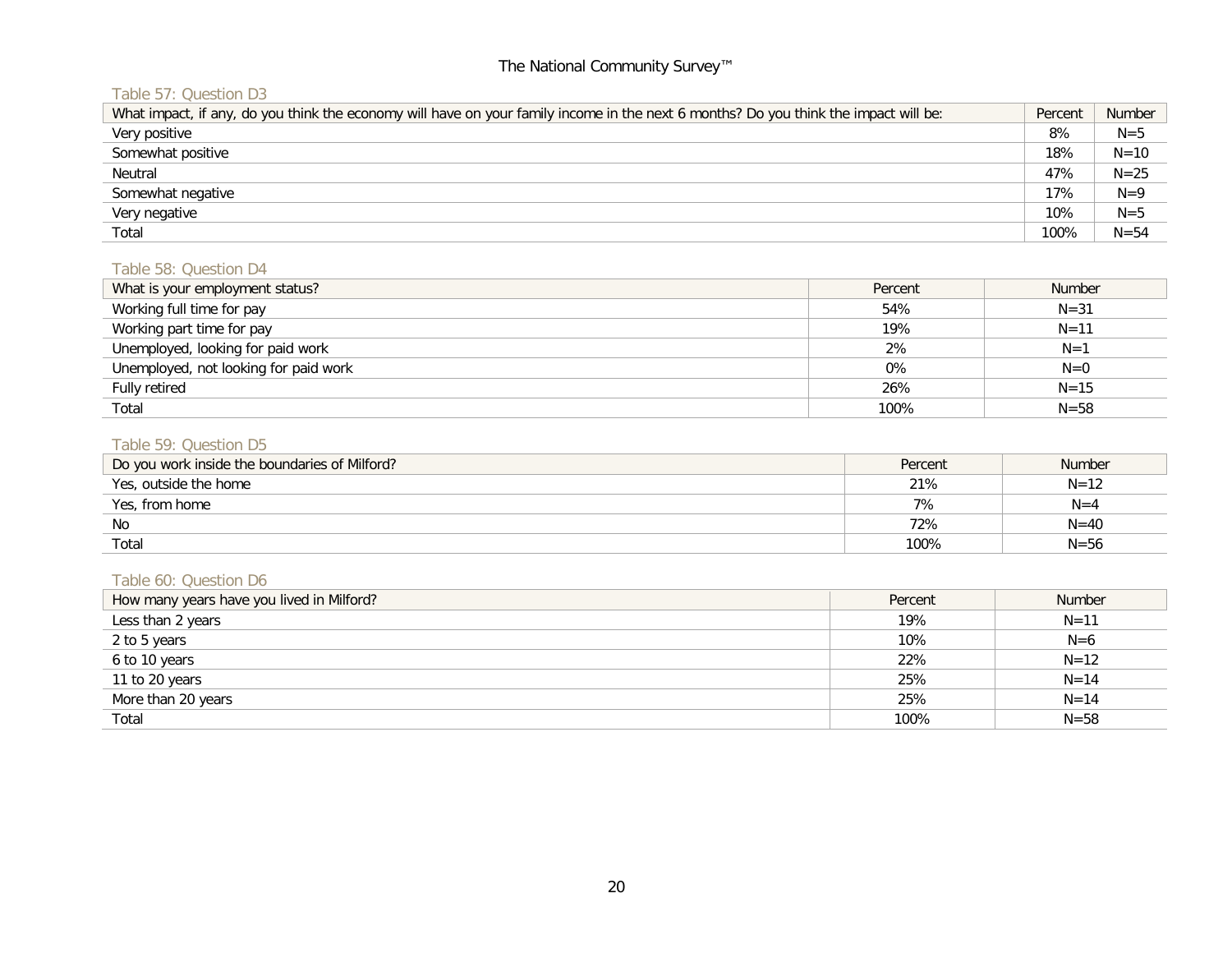# Table 57: Question D3

| What impact, if any, do you think the economy will have on your family income in the next 6 months? Do you think the impact will be: | Percent | <b>Number</b> |
|--------------------------------------------------------------------------------------------------------------------------------------|---------|---------------|
| Very positive                                                                                                                        | 8%      | $N = 5$       |
| Somewhat positive                                                                                                                    | 18%     | $N = 10$      |
| Neutral                                                                                                                              | 47%     | $N = 25$      |
| Somewhat negative                                                                                                                    | 17%     | $N=9$         |
| Very negative                                                                                                                        | 10%     | $N=5$         |
| Total                                                                                                                                | 100%    | $N = 54$      |

#### Table 58: Question D4

| What is your employment status?       | Percent | <b>Number</b> |
|---------------------------------------|---------|---------------|
| Working full time for pay             | 54%     | $N = 31$      |
| Working part time for pay             | 19%     | $N = 11$      |
| Unemployed, looking for paid work     | 2%      | $N=1$         |
| Unemployed, not looking for paid work | 0%      | $N=0$         |
| Fully retired                         | 26%     | $N = 15$      |
| Total                                 | 100%    | $N = 58$      |

# Table 59: Question D5

| Do you work inside the boundaries of Milford? | Percent | <b>Number</b> |
|-----------------------------------------------|---------|---------------|
| Yes, outside the home                         | 21%     | $N = 12$      |
| Yes, from home                                | 7%      | $N = 4$       |
| No                                            | 72%     | $N = 40$      |
| Total                                         | 100%    | $N = 56$      |

# Table 60: Question D6

| How many years have you lived in Milford? | Percent | <b>Number</b> |
|-------------------------------------------|---------|---------------|
| Less than 2 years                         | 19%     | $N = 11$      |
| 2 to 5 years                              | 10%     | $N=6$         |
| 6 to 10 years                             | 22%     | $N = 12$      |
| 11 to 20 years                            | 25%     | $N = 14$      |
| More than 20 years                        | 25%     | $N = 14$      |
| Total                                     | 100%    | $N = 58$      |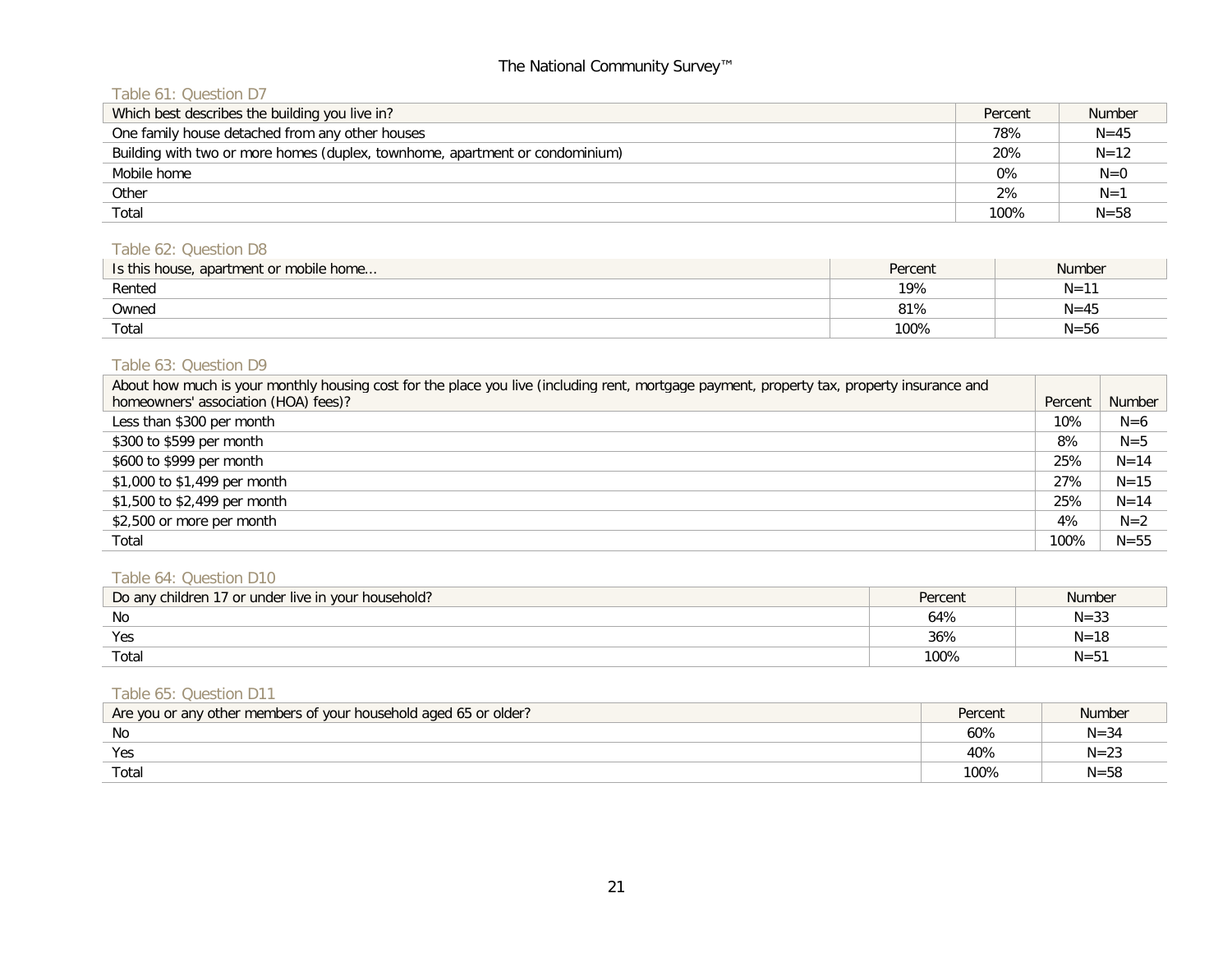# Table 61: Question D7

| Which best describes the building you live in?                               | Percent | <b>Number</b> |
|------------------------------------------------------------------------------|---------|---------------|
| One family house detached from any other houses                              | 78%     | $N = 45$      |
| Building with two or more homes (duplex, townhome, apartment or condominium) | 20%     | $N = 12$      |
| Mobile home                                                                  | 0%      | $N=0$         |
| Other                                                                        | 2%      | $N=1$         |
| Total                                                                        | 100%    | $N = 58$      |

# Table 62: Question D8

| Is this house, apartment or mobile home | Percent | <b>Number</b> |
|-----------------------------------------|---------|---------------|
| Rented                                  | 19%     | $N = 11$      |
| Owned                                   | 81%     | $N = 45$      |
| Total                                   | 100%    | $N = 56$      |

## Table 63: Question D9

| About how much is your monthly housing cost for the place you live (including rent, mortgage payment, property tax, property insurance and |         |          |
|--------------------------------------------------------------------------------------------------------------------------------------------|---------|----------|
| homeowners' association (HOA) fees)?                                                                                                       | Percent | Number   |
| Less than \$300 per month                                                                                                                  | 10%     | $N=6$    |
| \$300 to \$599 per month                                                                                                                   | 8%      | $N = 5$  |
| \$600 to \$999 per month                                                                                                                   | 25%     | $N = 14$ |
| \$1,000 to \$1,499 per month                                                                                                               | 27%     | $N = 15$ |
| \$1,500 to \$2,499 per month                                                                                                               | 25%     | $N = 14$ |
| \$2,500 or more per month                                                                                                                  | 4%      | $N=2$    |
| Total                                                                                                                                      | 100%    | $N = 55$ |

# Table 64: Question D10

| Do any children 17 or under live in your household? | Percent | Number   |
|-----------------------------------------------------|---------|----------|
| No                                                  | 64%     | $N = 33$ |
| Yes                                                 | 36%     | $N = 16$ |
| Total                                               | 100%    | $N = 5$  |

#### Table 65: Question D11

| Are you or any other members of your household aged 65 or older? | Percent | <b>Number</b> |
|------------------------------------------------------------------|---------|---------------|
| No                                                               | 60%     | $N = 34$      |
| Yes                                                              | 40%     | $N = 23$      |
| Total                                                            | 100%    | $N = 58$      |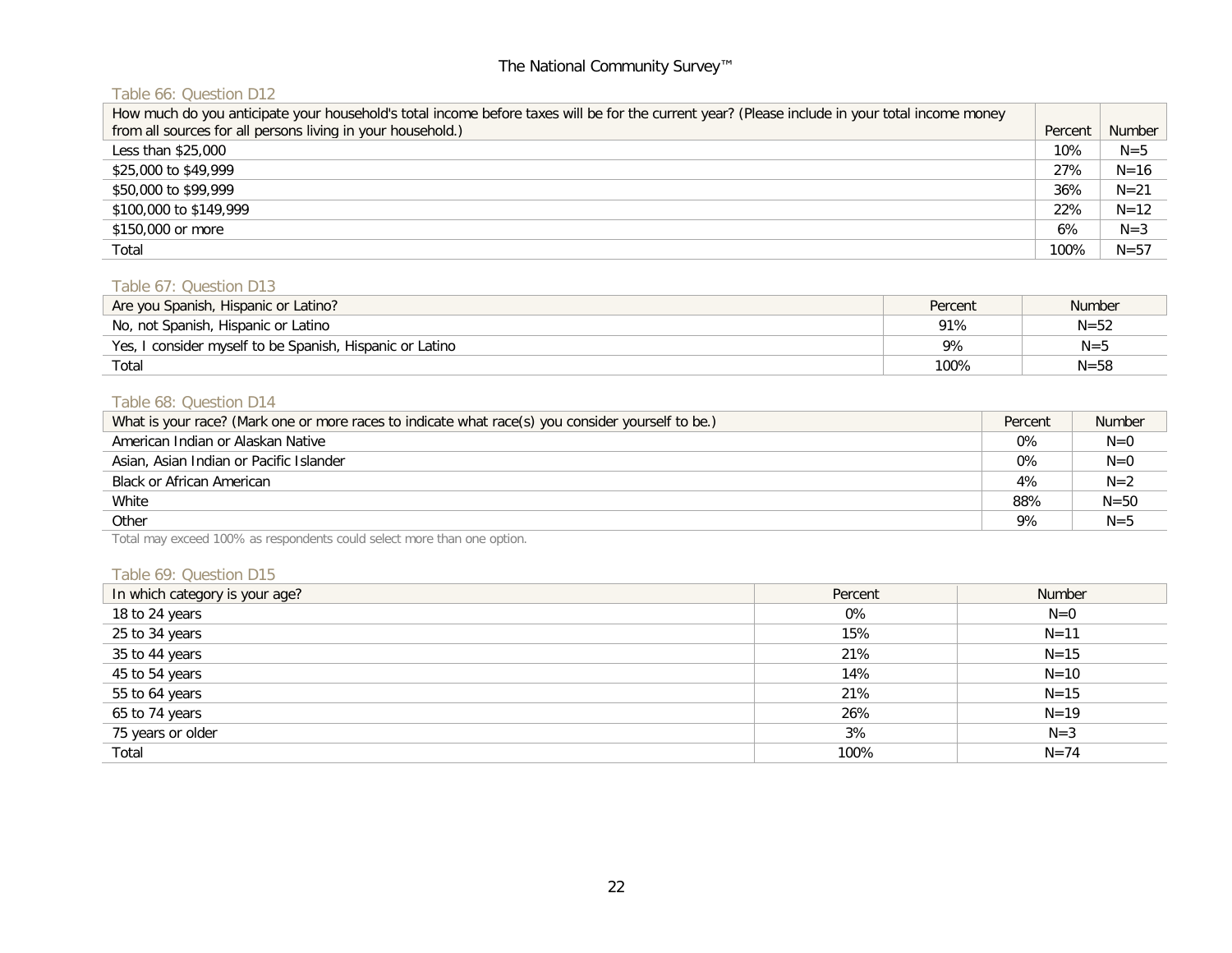# Table 66: Question D12

| How much do you anticipate your household's total income before taxes will be for the current year? (Please include in your total income money |         |          |
|------------------------------------------------------------------------------------------------------------------------------------------------|---------|----------|
| from all sources for all persons living in your household.)                                                                                    | Percent | Number   |
| Less than \$25,000                                                                                                                             | 10%     | $N=5$    |
| \$25,000 to \$49,999                                                                                                                           | 27%     | $N = 16$ |
| \$50,000 to \$99,999                                                                                                                           | 36%     | $N = 21$ |
| \$100,000 to \$149,999                                                                                                                         | 22%     | $N = 12$ |
| \$150,000 or more                                                                                                                              | 6%      | $N = 3$  |
| Total                                                                                                                                          | 100%    | $N = 57$ |

#### Table 67: Question D13

| Are you Spanish, Hispanic or Latino?                     | Percent | Number   |
|----------------------------------------------------------|---------|----------|
| No, not Spanish, Hispanic or Latino                      | 91%     | $N = 52$ |
| Yes, I consider myself to be Spanish, Hispanic or Latino | 9%      | $N = 5$  |
| Total                                                    | 100%    | $N = 58$ |

# Table 68: Question D14

| What is your race? (Mark one or more races to indicate what race(s) you consider yourself to be.) | Percent | <b>Number</b> |
|---------------------------------------------------------------------------------------------------|---------|---------------|
| American Indian or Alaskan Native                                                                 | 0%      | $N=0$         |
| Asian, Asian Indian or Pacific Islander                                                           | 0%      | $N=0$         |
| Black or African American                                                                         | 4%      | $N=2$         |
| White                                                                                             | 88%     | $N = 50$      |
| Other                                                                                             | 9%      | $N = 5$       |

Total may exceed 100% as respondents could select more than one option.

#### Table 69: Question D15

| In which category is your age? | Percent | Number   |
|--------------------------------|---------|----------|
| 18 to 24 years                 | 0%      | $N=0$    |
| 25 to 34 years                 | 15%     | $N = 11$ |
| 35 to 44 years                 | 21%     | $N = 15$ |
| 45 to 54 years                 | 14%     | $N = 10$ |
| 55 to 64 years                 | 21%     | $N = 15$ |
| 65 to 74 years                 | 26%     | $N = 19$ |
| 75 years or older              | 3%      | $N=3$    |
| Total                          | 100%    | $N = 74$ |